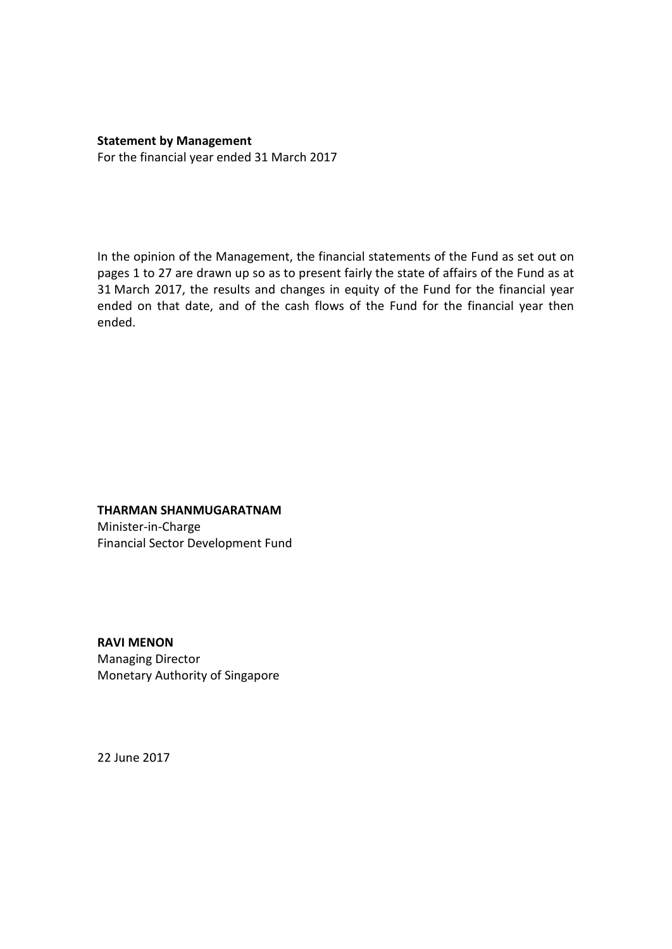**Statement by Management** For the financial year ended 31 March 2017

In the opinion of the Management, the financial statements of the Fund as set out on pages 1 to 27 are drawn up so as to present fairly the state of affairs of the Fund as at 31 March 2017, the results and changes in equity of the Fund for the financial year ended on that date, and of the cash flows of the Fund for the financial year then ended.

#### **THARMAN SHANMUGARATNAM**

Minister-in-Charge Financial Sector Development Fund

**RAVI MENON** Managing Director Monetary Authority of Singapore

22 June 2017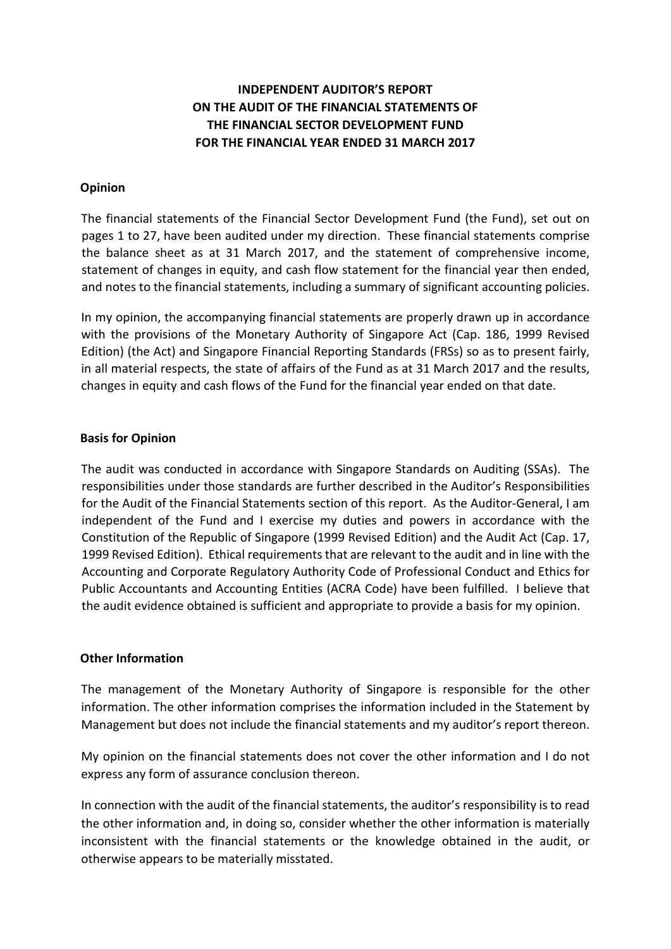# **INDEPENDENT AUDITOR'S REPORT ON THE AUDIT OF THE FINANCIAL STATEMENTS OF THE FINANCIAL SECTOR DEVELOPMENT FUND FOR THE FINANCIAL YEAR ENDED 31 MARCH 2017**

## **Opinion**

The financial statements of the Financial Sector Development Fund (the Fund), set out on pages 1 to 27, have been audited under my direction. These financial statements comprise the balance sheet as at 31 March 2017, and the statement of comprehensive income, statement of changes in equity, and cash flow statement for the financial year then ended, and notes to the financial statements, including a summary of significant accounting policies.

In my opinion, the accompanying financial statements are properly drawn up in accordance with the provisions of the Monetary Authority of Singapore Act (Cap. 186, 1999 Revised Edition) (the Act) and Singapore Financial Reporting Standards (FRSs) so as to present fairly, in all material respects, the state of affairs of the Fund as at 31 March 2017 and the results, changes in equity and cash flows of the Fund for the financial year ended on that date.

## **Basis for Opinion**

The audit was conducted in accordance with Singapore Standards on Auditing (SSAs). The responsibilities under those standards are further described in the Auditor's Responsibilities for the Audit of the Financial Statements section of this report. As the Auditor-General, I am independent of the Fund and I exercise my duties and powers in accordance with the Constitution of the Republic of Singapore (1999 Revised Edition) and the Audit Act (Cap. 17, 1999 Revised Edition). Ethical requirements that are relevant to the audit and in line with the Accounting and Corporate Regulatory Authority Code of Professional Conduct and Ethics for Public Accountants and Accounting Entities (ACRA Code) have been fulfilled. I believe that the audit evidence obtained is sufficient and appropriate to provide a basis for my opinion.

#### **Other Information**

The management of the Monetary Authority of Singapore is responsible for the other information. The other information comprises the information included in the Statement by Management but does not include the financial statements and my auditor's report thereon.

My opinion on the financial statements does not cover the other information and I do not express any form of assurance conclusion thereon.

In connection with the audit of the financial statements, the auditor's responsibility is to read the other information and, in doing so, consider whether the other information is materially inconsistent with the financial statements or the knowledge obtained in the audit, or otherwise appears to be materially misstated.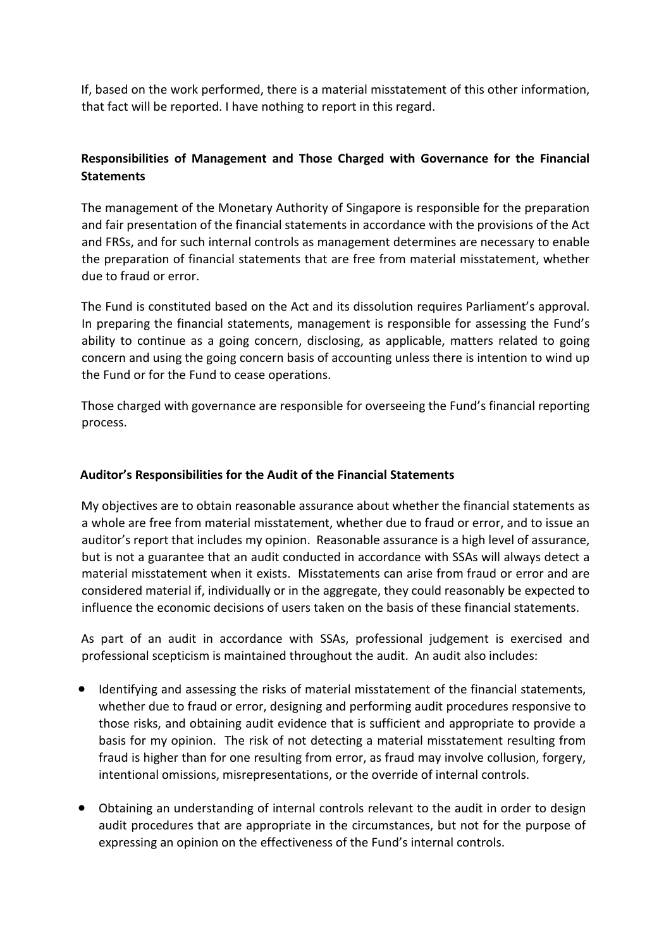If, based on the work performed, there is a material misstatement of this other information, that fact will be reported. I have nothing to report in this regard.

# **Responsibilities of Management and Those Charged with Governance for the Financial Statements**

The management of the Monetary Authority of Singapore is responsible for the preparation and fair presentation of the financial statements in accordance with the provisions of the Act and FRSs, and for such internal controls as management determines are necessary to enable the preparation of financial statements that are free from material misstatement, whether due to fraud or error.

The Fund is constituted based on the Act and its dissolution requires Parliament's approval. In preparing the financial statements, management is responsible for assessing the Fund's ability to continue as a going concern, disclosing, as applicable, matters related to going concern and using the going concern basis of accounting unless there is intention to wind up the Fund or for the Fund to cease operations.

Those charged with governance are responsible for overseeing the Fund's financial reporting process.

# **Auditor's Responsibilities for the Audit of the Financial Statements**

My objectives are to obtain reasonable assurance about whether the financial statements as a whole are free from material misstatement, whether due to fraud or error, and to issue an auditor's report that includes my opinion. Reasonable assurance is a high level of assurance, but is not a guarantee that an audit conducted in accordance with SSAs will always detect a material misstatement when it exists. Misstatements can arise from fraud or error and are considered material if, individually or in the aggregate, they could reasonably be expected to influence the economic decisions of users taken on the basis of these financial statements.

As part of an audit in accordance with SSAs, professional judgement is exercised and professional scepticism is maintained throughout the audit. An audit also includes:

- Identifying and assessing the risks of material misstatement of the financial statements, whether due to fraud or error, designing and performing audit procedures responsive to those risks, and obtaining audit evidence that is sufficient and appropriate to provide a basis for my opinion. The risk of not detecting a material misstatement resulting from fraud is higher than for one resulting from error, as fraud may involve collusion, forgery, intentional omissions, misrepresentations, or the override of internal controls.
- Obtaining an understanding of internal controls relevant to the audit in order to design audit procedures that are appropriate in the circumstances, but not for the purpose of expressing an opinion on the effectiveness of the Fund's internal controls.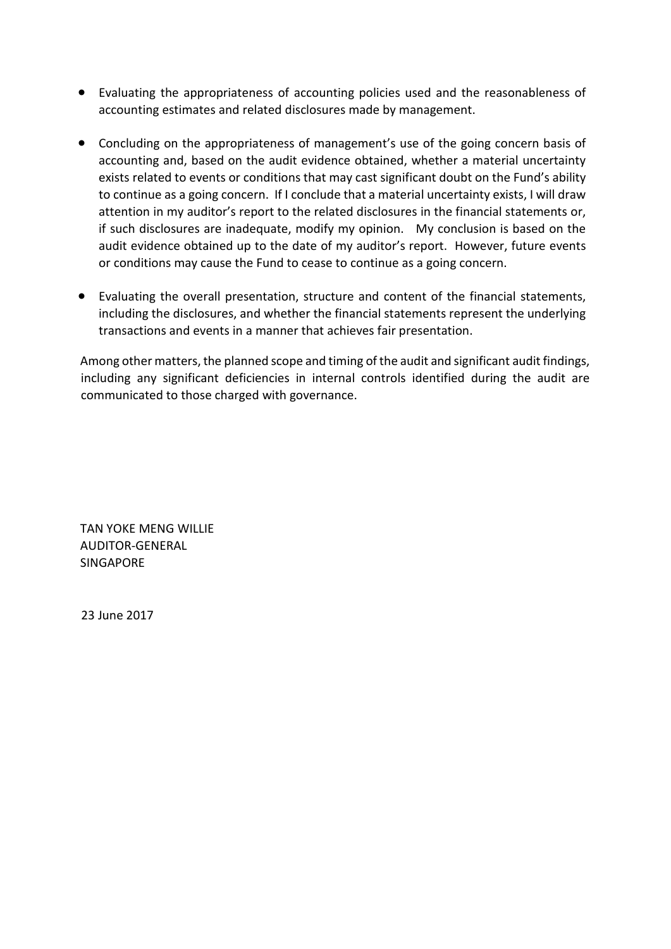- Evaluating the appropriateness of accounting policies used and the reasonableness of accounting estimates and related disclosures made by management.
- Concluding on the appropriateness of management's use of the going concern basis of accounting and, based on the audit evidence obtained, whether a material uncertainty exists related to events or conditions that may cast significant doubt on the Fund's ability to continue as a going concern. If I conclude that a material uncertainty exists, I will draw attention in my auditor's report to the related disclosures in the financial statements or, if such disclosures are inadequate, modify my opinion. My conclusion is based on the audit evidence obtained up to the date of my auditor's report. However, future events or conditions may cause the Fund to cease to continue as a going concern.
- Evaluating the overall presentation, structure and content of the financial statements, including the disclosures, and whether the financial statements represent the underlying transactions and events in a manner that achieves fair presentation.

Among other matters, the planned scope and timing of the audit and significant audit findings, including any significant deficiencies in internal controls identified during the audit are communicated to those charged with governance.

TAN YOKE MENG WILLIE AUDITOR-GENERAL SINGAPORE

23 June 2017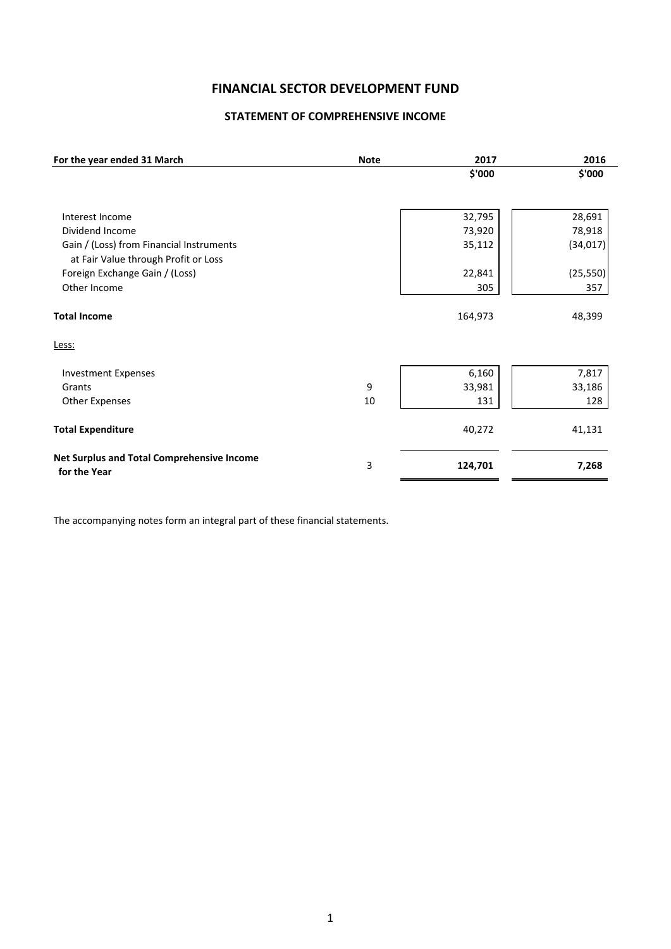# **FINANCIAL SECTOR DEVELOPMENT FUND**

## **STATEMENT OF COMPREHENSIVE INCOME**

| For the year ended 31 March                                | <b>Note</b> | 2017    | 2016      |
|------------------------------------------------------------|-------------|---------|-----------|
|                                                            |             | \$'000  | \$'000    |
|                                                            |             |         |           |
| Interest Income                                            |             | 32,795  | 28,691    |
| Dividend Income                                            |             | 73,920  | 78,918    |
| Gain / (Loss) from Financial Instruments                   |             | 35,112  | (34, 017) |
| at Fair Value through Profit or Loss                       |             |         |           |
| Foreign Exchange Gain / (Loss)                             |             | 22,841  | (25, 550) |
| Other Income                                               |             | 305     | 357       |
| <b>Total Income</b>                                        |             | 164,973 | 48,399    |
| Less:                                                      |             |         |           |
| <b>Investment Expenses</b>                                 |             | 6,160   | 7,817     |
| Grants                                                     | 9           | 33,981  | 33,186    |
| <b>Other Expenses</b>                                      | 10          | 131     | 128       |
| <b>Total Expenditure</b>                                   |             | 40,272  | 41,131    |
| Net Surplus and Total Comprehensive Income<br>for the Year | 3           | 124,701 | 7,268     |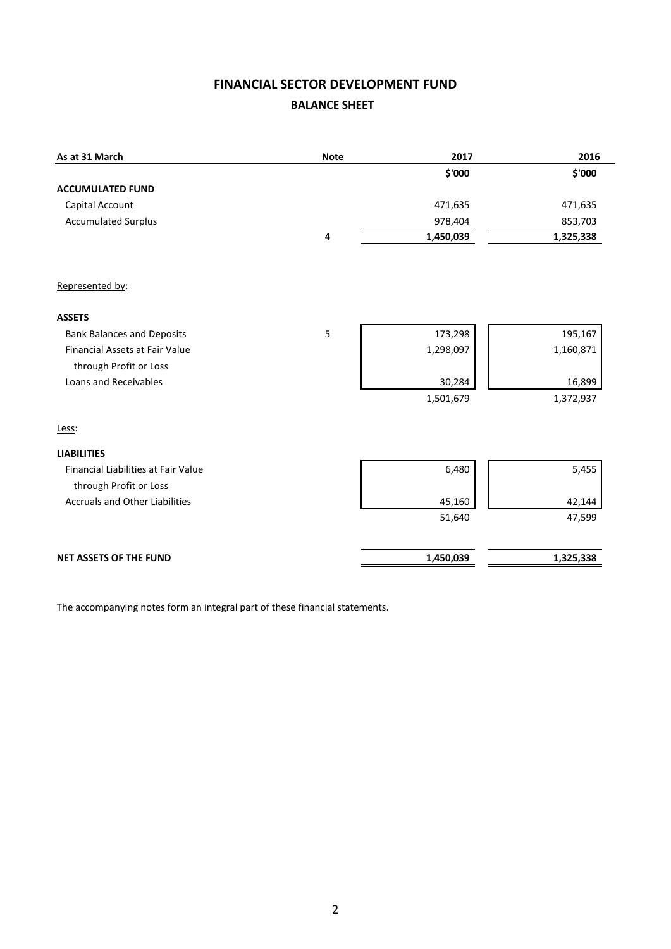# **FINANCIAL SECTOR DEVELOPMENT FUND BALANCE SHEET**

| As at 31 March                        | <b>Note</b> | 2017      | 2016      |
|---------------------------------------|-------------|-----------|-----------|
|                                       |             | \$'000    | \$'000    |
| <b>ACCUMULATED FUND</b>               |             |           |           |
| Capital Account                       |             | 471,635   | 471,635   |
| <b>Accumulated Surplus</b>            |             | 978,404   | 853,703   |
|                                       | $\sqrt{4}$  | 1,450,039 | 1,325,338 |
|                                       |             |           |           |
| Represented by:                       |             |           |           |
| <b>ASSETS</b>                         |             |           |           |
| <b>Bank Balances and Deposits</b>     | 5           | 173,298   | 195,167   |
| Financial Assets at Fair Value        |             | 1,298,097 | 1,160,871 |
| through Profit or Loss                |             |           |           |
| Loans and Receivables                 |             | 30,284    | 16,899    |
|                                       |             | 1,501,679 | 1,372,937 |
| Less:                                 |             |           |           |
| <b>LIABILITIES</b>                    |             |           |           |
| Financial Liabilities at Fair Value   |             | 6,480     | 5,455     |
| through Profit or Loss                |             |           |           |
| <b>Accruals and Other Liabilities</b> |             | 45,160    | 42,144    |
|                                       |             | 51,640    | 47,599    |
| <b>NET ASSETS OF THE FUND</b>         |             | 1,450,039 | 1,325,338 |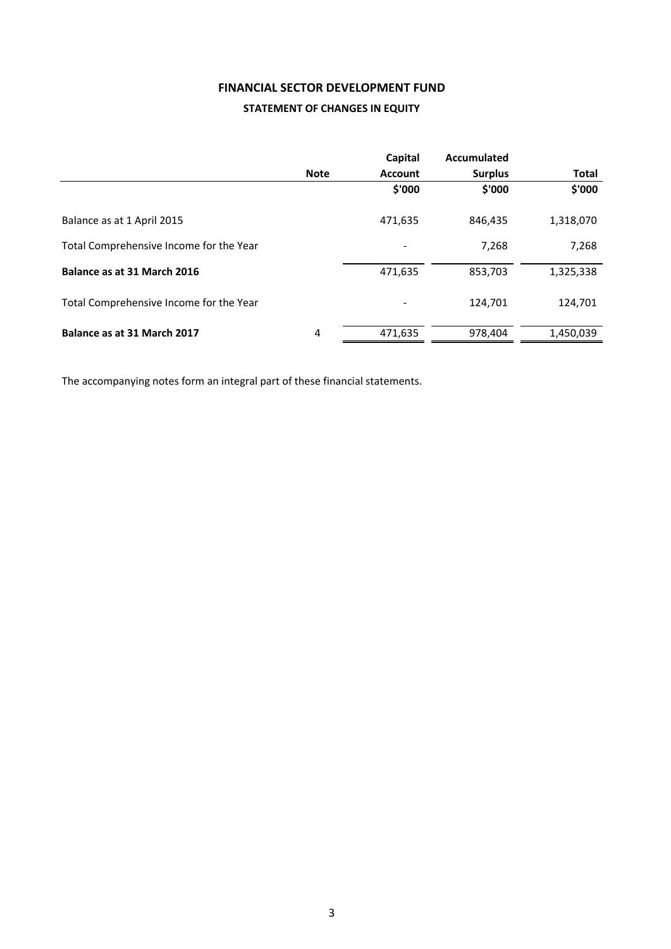## **FINANCIAL SECTOR DEVELOPMENT FUND**

#### **STATEMENT OF CHANGES IN EQUITY**

|                                         |             | Capital        | Accumulated    |              |
|-----------------------------------------|-------------|----------------|----------------|--------------|
|                                         | <b>Note</b> | <b>Account</b> | <b>Surplus</b> | <b>Total</b> |
|                                         |             | \$'000         | \$'000         | \$'000       |
| Balance as at 1 April 2015              |             | 471,635        | 846,435        | 1,318,070    |
| Total Comprehensive Income for the Year |             |                | 7.268          | 7,268        |
| Balance as at 31 March 2016             |             | 471,635        | 853,703        | 1,325,338    |
| Total Comprehensive Income for the Year |             |                | 124,701        | 124,701      |
| Balance as at 31 March 2017             | 4           | 471,635        | 978,404        | 1,450,039    |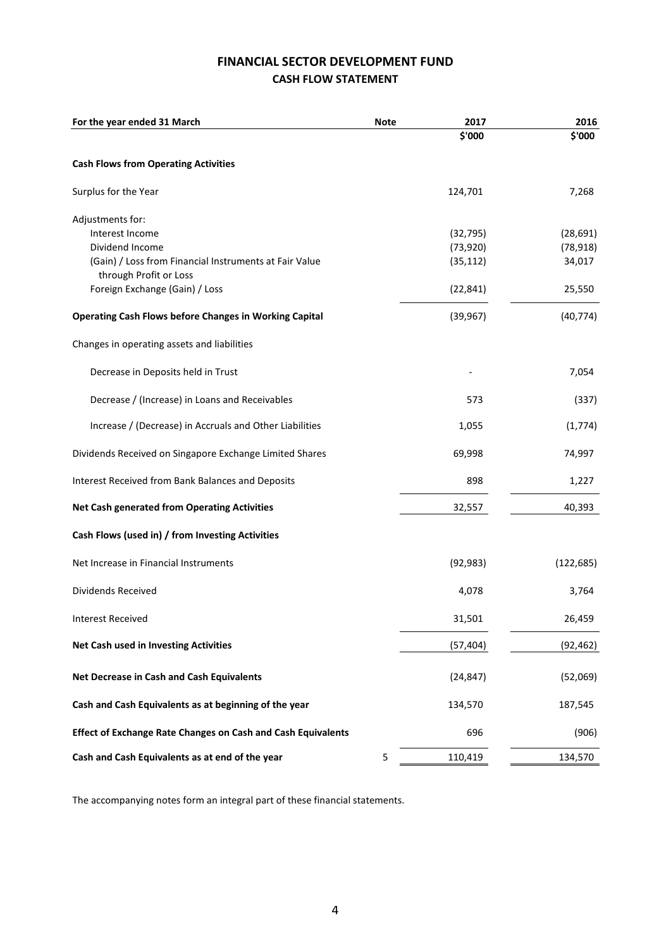# **FINANCIAL SECTOR DEVELOPMENT FUND CASH FLOW STATEMENT**

| For the year ended 31 March                                         | <b>Note</b> | 2017      | 2016       |
|---------------------------------------------------------------------|-------------|-----------|------------|
|                                                                     |             | \$'000    | \$'000     |
| <b>Cash Flows from Operating Activities</b>                         |             |           |            |
| Surplus for the Year                                                |             | 124,701   | 7,268      |
| Adjustments for:                                                    |             |           |            |
| Interest Income                                                     |             | (32, 795) | (28, 691)  |
| Dividend Income                                                     |             | (73, 920) | (78, 918)  |
| (Gain) / Loss from Financial Instruments at Fair Value              |             | (35, 112) | 34,017     |
| through Profit or Loss                                              |             |           |            |
| Foreign Exchange (Gain) / Loss                                      |             | (22, 841) | 25,550     |
| <b>Operating Cash Flows before Changes in Working Capital</b>       |             | (39, 967) | (40, 774)  |
| Changes in operating assets and liabilities                         |             |           |            |
| Decrease in Deposits held in Trust                                  |             |           | 7,054      |
| Decrease / (Increase) in Loans and Receivables                      |             | 573       | (337)      |
| Increase / (Decrease) in Accruals and Other Liabilities             |             | 1,055     | (1,774)    |
| Dividends Received on Singapore Exchange Limited Shares             |             | 69,998    | 74,997     |
| Interest Received from Bank Balances and Deposits                   |             | 898       | 1,227      |
| <b>Net Cash generated from Operating Activities</b>                 |             | 32,557    | 40,393     |
| Cash Flows (used in) / from Investing Activities                    |             |           |            |
| Net Increase in Financial Instruments                               |             | (92, 983) | (122, 685) |
| Dividends Received                                                  |             | 4,078     | 3,764      |
| <b>Interest Received</b>                                            |             | 31,501    | 26,459     |
| <b>Net Cash used in Investing Activities</b>                        |             | (57, 404) | (92, 462)  |
| Net Decrease in Cash and Cash Equivalents                           |             | (24, 847) | (52,069)   |
| Cash and Cash Equivalents as at beginning of the year               |             | 134,570   | 187,545    |
| <b>Effect of Exchange Rate Changes on Cash and Cash Equivalents</b> |             | 696       | (906)      |
| Cash and Cash Equivalents as at end of the year                     | 5           | 110,419   | 134,570    |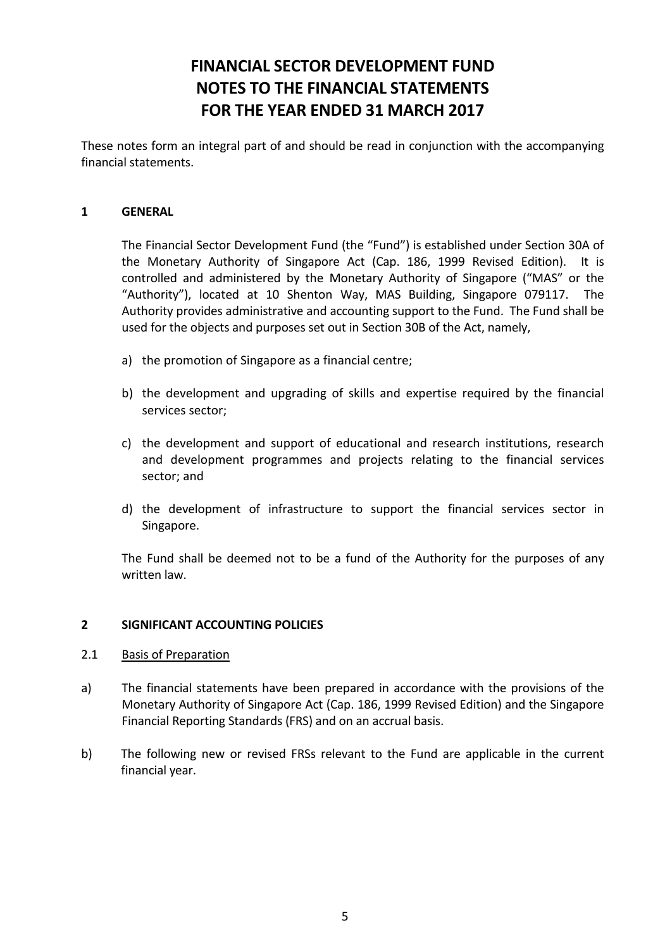# **FINANCIAL SECTOR DEVELOPMENT FUND NOTES TO THE FINANCIAL STATEMENTS FOR THE YEAR ENDED 31 MARCH 2017**

These notes form an integral part of and should be read in conjunction with the accompanying financial statements.

#### **1 GENERAL**

The Financial Sector Development Fund (the "Fund") is established under Section 30A of the Monetary Authority of Singapore Act (Cap. 186, 1999 Revised Edition). It is controlled and administered by the Monetary Authority of Singapore ("MAS" or the "Authority"), located at 10 Shenton Way, MAS Building, Singapore 079117. The Authority provides administrative and accounting support to the Fund. The Fund shall be used for the objects and purposes set out in Section 30B of the Act, namely,

- a) the promotion of Singapore as a financial centre;
- b) the development and upgrading of skills and expertise required by the financial services sector;
- c) the development and support of educational and research institutions, research and development programmes and projects relating to the financial services sector; and
- d) the development of infrastructure to support the financial services sector in Singapore.

The Fund shall be deemed not to be a fund of the Authority for the purposes of any written law.

#### **2 SIGNIFICANT ACCOUNTING POLICIES**

#### 2.1 Basis of Preparation

- a) The financial statements have been prepared in accordance with the provisions of the Monetary Authority of Singapore Act (Cap. 186, 1999 Revised Edition) and the Singapore Financial Reporting Standards (FRS) and on an accrual basis.
- b) The following new or revised FRSs relevant to the Fund are applicable in the current financial year.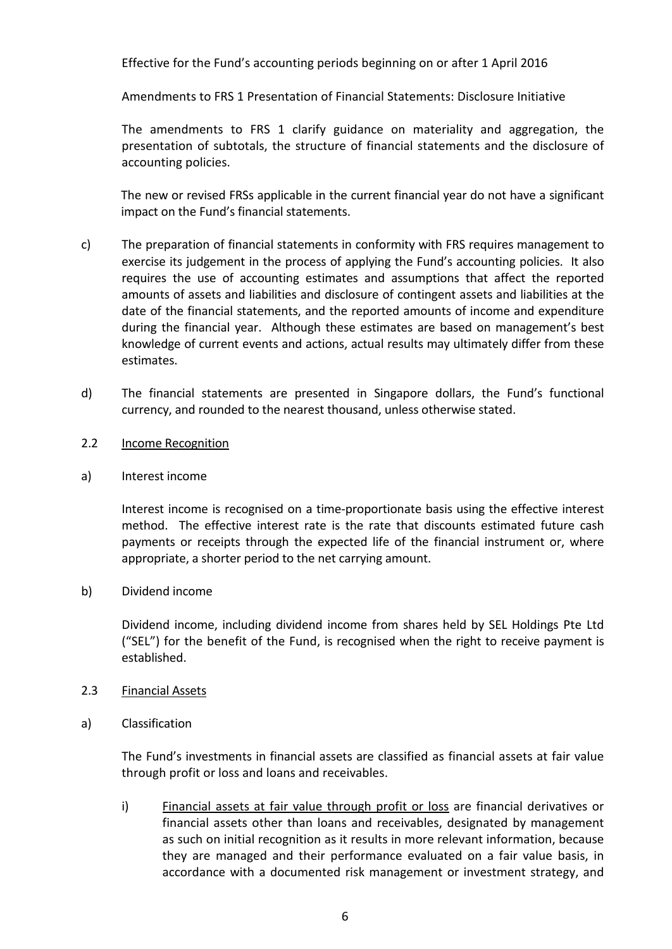Effective for the Fund's accounting periods beginning on or after 1 April 2016

Amendments to FRS 1 Presentation of Financial Statements: Disclosure Initiative

The amendments to FRS 1 clarify guidance on materiality and aggregation, the presentation of subtotals, the structure of financial statements and the disclosure of accounting policies.

The new or revised FRSs applicable in the current financial year do not have a significant impact on the Fund's financial statements.

- c) The preparation of financial statements in conformity with FRS requires management to exercise its judgement in the process of applying the Fund's accounting policies. It also requires the use of accounting estimates and assumptions that affect the reported amounts of assets and liabilities and disclosure of contingent assets and liabilities at the date of the financial statements, and the reported amounts of income and expenditure during the financial year. Although these estimates are based on management's best knowledge of current events and actions, actual results may ultimately differ from these estimates.
- d) The financial statements are presented in Singapore dollars, the Fund's functional currency, and rounded to the nearest thousand, unless otherwise stated.
- 2.2 Income Recognition
- a) Interest income

Interest income is recognised on a time-proportionate basis using the effective interest method. The effective interest rate is the rate that discounts estimated future cash payments or receipts through the expected life of the financial instrument or, where appropriate, a shorter period to the net carrying amount.

b) Dividend income

Dividend income, including dividend income from shares held by SEL Holdings Pte Ltd ("SEL") for the benefit of the Fund, is recognised when the right to receive payment is established.

- 2.3 Financial Assets
- a) Classification

The Fund's investments in financial assets are classified as financial assets at fair value through profit or loss and loans and receivables.

i) Financial assets at fair value through profit or loss are financial derivatives or financial assets other than loans and receivables, designated by management as such on initial recognition as it results in more relevant information, because they are managed and their performance evaluated on a fair value basis, in accordance with a documented risk management or investment strategy, and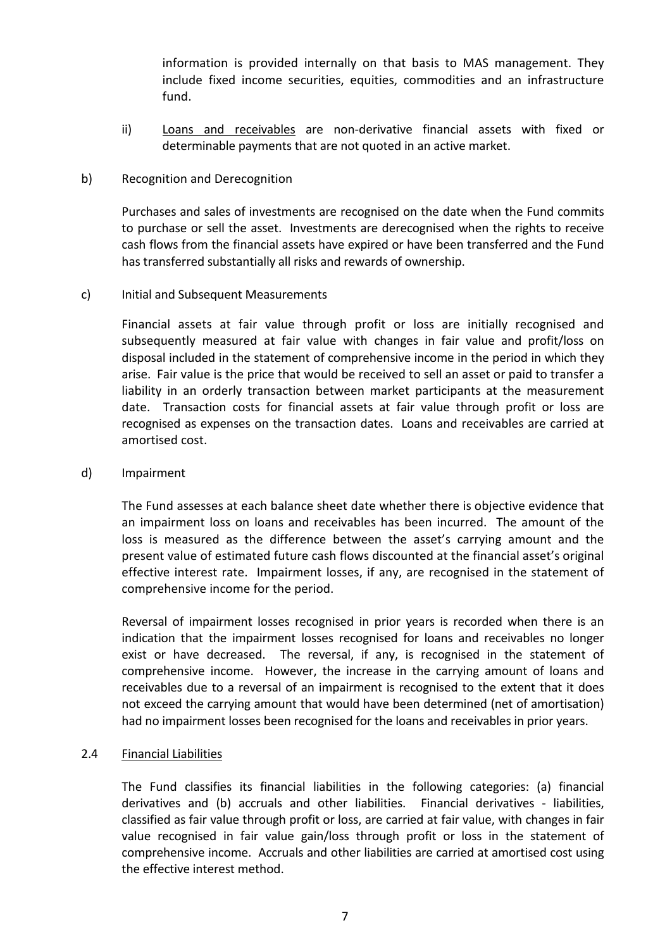information is provided internally on that basis to MAS management. They include fixed income securities, equities, commodities and an infrastructure fund.

ii) Loans and receivables are non-derivative financial assets with fixed or determinable payments that are not quoted in an active market.

#### b) Recognition and Derecognition

Purchases and sales of investments are recognised on the date when the Fund commits to purchase or sell the asset. Investments are derecognised when the rights to receive cash flows from the financial assets have expired or have been transferred and the Fund has transferred substantially all risks and rewards of ownership.

## c) Initial and Subsequent Measurements

Financial assets at fair value through profit or loss are initially recognised and subsequently measured at fair value with changes in fair value and profit/loss on disposal included in the statement of comprehensive income in the period in which they arise. Fair value is the price that would be received to sell an asset or paid to transfer a liability in an orderly transaction between market participants at the measurement date. Transaction costs for financial assets at fair value through profit or loss are recognised as expenses on the transaction dates. Loans and receivables are carried at amortised cost.

#### d) Impairment

The Fund assesses at each balance sheet date whether there is objective evidence that an impairment loss on loans and receivables has been incurred. The amount of the loss is measured as the difference between the asset's carrying amount and the present value of estimated future cash flows discounted at the financial asset's original effective interest rate. Impairment losses, if any, are recognised in the statement of comprehensive income for the period.

Reversal of impairment losses recognised in prior years is recorded when there is an indication that the impairment losses recognised for loans and receivables no longer exist or have decreased. The reversal, if any, is recognised in the statement of comprehensive income. However, the increase in the carrying amount of loans and receivables due to a reversal of an impairment is recognised to the extent that it does not exceed the carrying amount that would have been determined (net of amortisation) had no impairment losses been recognised for the loans and receivables in prior years.

#### 2.4 Financial Liabilities

The Fund classifies its financial liabilities in the following categories: (a) financial derivatives and (b) accruals and other liabilities. Financial derivatives - liabilities, classified as fair value through profit or loss, are carried at fair value, with changes in fair value recognised in fair value gain/loss through profit or loss in the statement of comprehensive income. Accruals and other liabilities are carried at amortised cost using the effective interest method.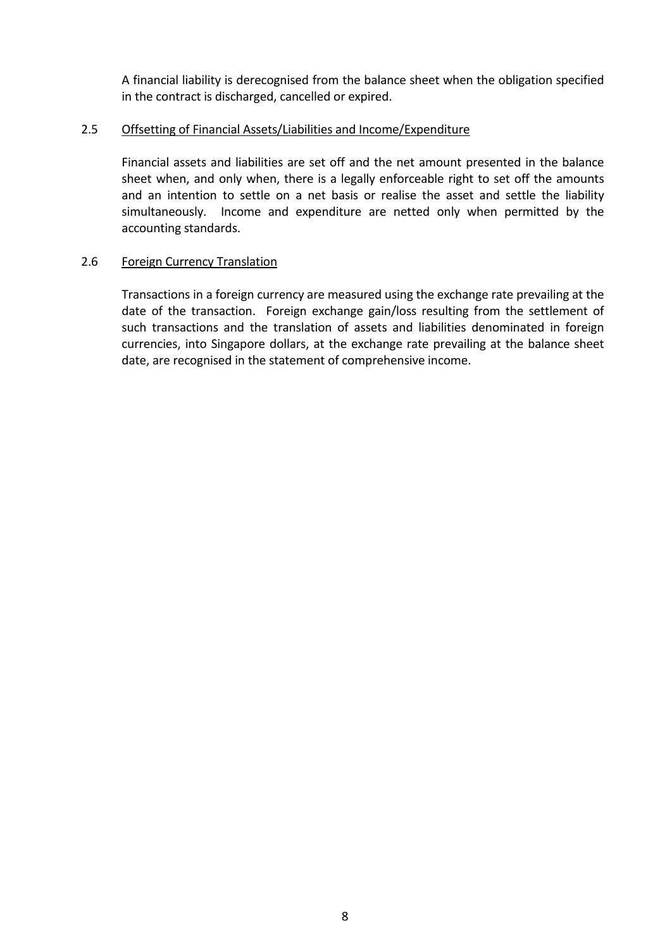A financial liability is derecognised from the balance sheet when the obligation specified in the contract is discharged, cancelled or expired.

#### 2.5 Offsetting of Financial Assets/Liabilities and Income/Expenditure

Financial assets and liabilities are set off and the net amount presented in the balance sheet when, and only when, there is a legally enforceable right to set off the amounts and an intention to settle on a net basis or realise the asset and settle the liability simultaneously. Income and expenditure are netted only when permitted by the accounting standards.

#### 2.6 Foreign Currency Translation

Transactions in a foreign currency are measured using the exchange rate prevailing at the date of the transaction. Foreign exchange gain/loss resulting from the settlement of such transactions and the translation of assets and liabilities denominated in foreign currencies, into Singapore dollars, at the exchange rate prevailing at the balance sheet date, are recognised in the statement of comprehensive income.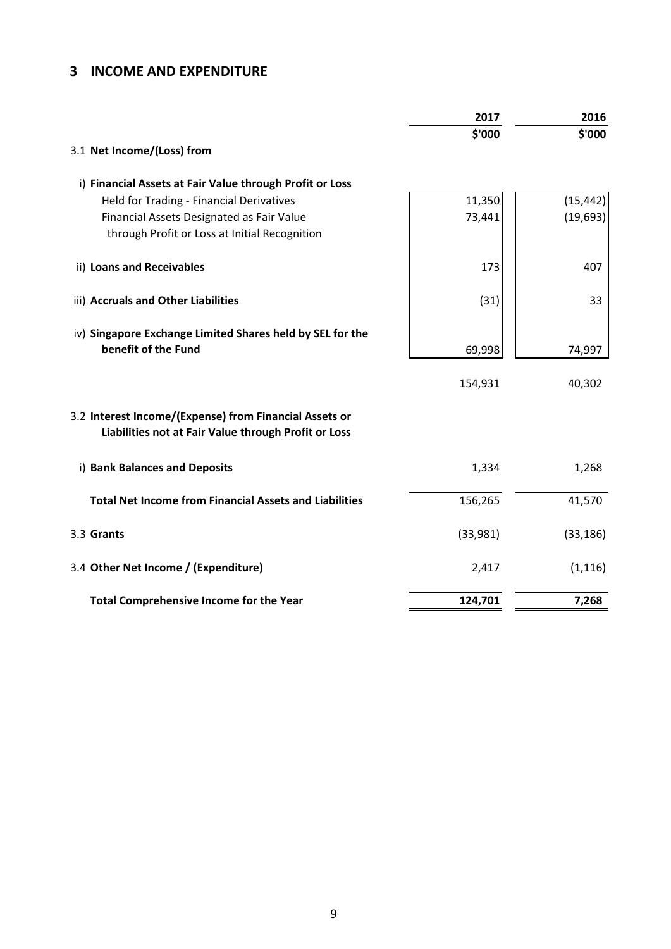# **3 INCOME AND EXPENDITURE**

| \$'000<br>3.1 Net Income/(Loss) from<br>i) Financial Assets at Fair Value through Profit or Loss<br>11,350<br>Held for Trading - Financial Derivatives<br>73,441<br>Financial Assets Designated as Fair Value<br>through Profit or Loss at Initial Recognition<br>ii) Loans and Receivables<br>407<br>173<br>iii) Accruals and Other Liabilities<br>(31)<br>33<br>iv) Singapore Exchange Limited Shares held by SEL for the<br>benefit of the Fund<br>69,998<br>74,997<br>154,931<br>40,302<br>3.2 Interest Income/(Expense) from Financial Assets or<br>Liabilities not at Fair Value through Profit or Loss<br>i) Bank Balances and Deposits<br>1,334<br>1,268<br><b>Total Net Income from Financial Assets and Liabilities</b><br>41,570<br>156,265<br>3.3 Grants<br>(33,981)<br>3.4 Other Net Income / (Expenditure)<br>2,417<br>7,268<br><b>Total Comprehensive Income for the Year</b><br>124,701 | 2017 | 2016      |
|---------------------------------------------------------------------------------------------------------------------------------------------------------------------------------------------------------------------------------------------------------------------------------------------------------------------------------------------------------------------------------------------------------------------------------------------------------------------------------------------------------------------------------------------------------------------------------------------------------------------------------------------------------------------------------------------------------------------------------------------------------------------------------------------------------------------------------------------------------------------------------------------------------|------|-----------|
|                                                                                                                                                                                                                                                                                                                                                                                                                                                                                                                                                                                                                                                                                                                                                                                                                                                                                                         |      | \$'000    |
|                                                                                                                                                                                                                                                                                                                                                                                                                                                                                                                                                                                                                                                                                                                                                                                                                                                                                                         |      |           |
|                                                                                                                                                                                                                                                                                                                                                                                                                                                                                                                                                                                                                                                                                                                                                                                                                                                                                                         |      |           |
|                                                                                                                                                                                                                                                                                                                                                                                                                                                                                                                                                                                                                                                                                                                                                                                                                                                                                                         |      | (15, 442) |
|                                                                                                                                                                                                                                                                                                                                                                                                                                                                                                                                                                                                                                                                                                                                                                                                                                                                                                         |      | (19, 693) |
|                                                                                                                                                                                                                                                                                                                                                                                                                                                                                                                                                                                                                                                                                                                                                                                                                                                                                                         |      |           |
|                                                                                                                                                                                                                                                                                                                                                                                                                                                                                                                                                                                                                                                                                                                                                                                                                                                                                                         |      |           |
|                                                                                                                                                                                                                                                                                                                                                                                                                                                                                                                                                                                                                                                                                                                                                                                                                                                                                                         |      |           |
|                                                                                                                                                                                                                                                                                                                                                                                                                                                                                                                                                                                                                                                                                                                                                                                                                                                                                                         |      |           |
|                                                                                                                                                                                                                                                                                                                                                                                                                                                                                                                                                                                                                                                                                                                                                                                                                                                                                                         |      |           |
|                                                                                                                                                                                                                                                                                                                                                                                                                                                                                                                                                                                                                                                                                                                                                                                                                                                                                                         |      |           |
|                                                                                                                                                                                                                                                                                                                                                                                                                                                                                                                                                                                                                                                                                                                                                                                                                                                                                                         |      |           |
|                                                                                                                                                                                                                                                                                                                                                                                                                                                                                                                                                                                                                                                                                                                                                                                                                                                                                                         |      |           |
|                                                                                                                                                                                                                                                                                                                                                                                                                                                                                                                                                                                                                                                                                                                                                                                                                                                                                                         |      |           |
|                                                                                                                                                                                                                                                                                                                                                                                                                                                                                                                                                                                                                                                                                                                                                                                                                                                                                                         |      | (33, 186) |
|                                                                                                                                                                                                                                                                                                                                                                                                                                                                                                                                                                                                                                                                                                                                                                                                                                                                                                         |      | (1, 116)  |
|                                                                                                                                                                                                                                                                                                                                                                                                                                                                                                                                                                                                                                                                                                                                                                                                                                                                                                         |      |           |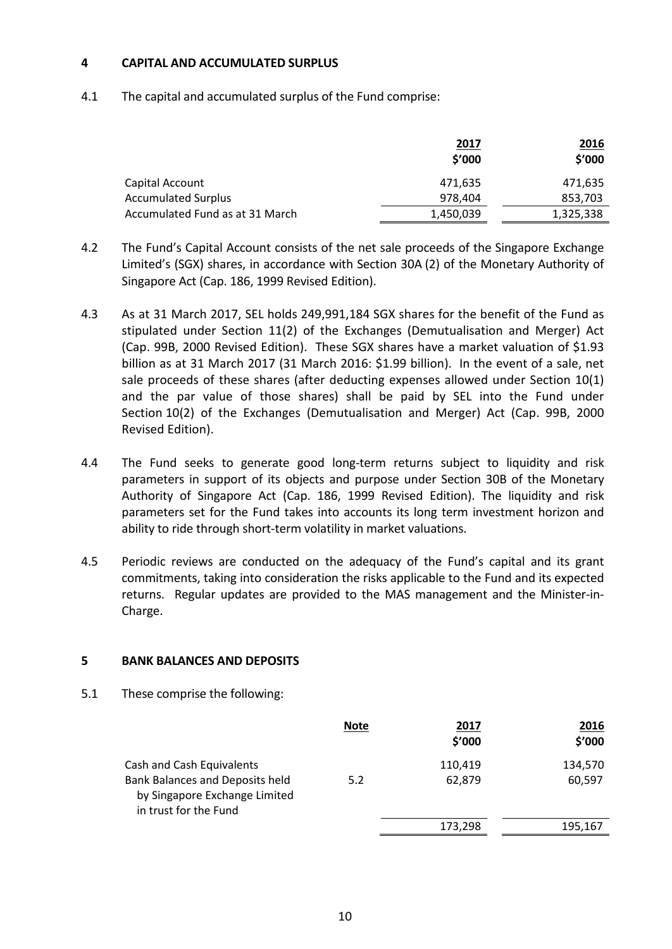#### **4 CAPITAL AND ACCUMULATED SURPLUS**

4.1 The capital and accumulated surplus of the Fund comprise:

|                                 | <u>2017</u><br>\$'000 | <u>2016</u><br>\$'000 |
|---------------------------------|-----------------------|-----------------------|
| Capital Account                 | 471,635               | 471,635               |
| <b>Accumulated Surplus</b>      | 978,404               | 853,703               |
| Accumulated Fund as at 31 March | 1,450,039             | 1,325,338             |

- 4.2 The Fund's Capital Account consists of the net sale proceeds of the Singapore Exchange Limited's (SGX) shares, in accordance with Section 30A (2) of the Monetary Authority of Singapore Act (Cap. 186, 1999 Revised Edition).
- 4.3 As at 31 March 2017, SEL holds 249,991,184 SGX shares for the benefit of the Fund as stipulated under Section 11(2) of the Exchanges (Demutualisation and Merger) Act (Cap. 99B, 2000 Revised Edition). These SGX shares have a market valuation of \$1.93 billion as at 31 March 2017 (31 March 2016: \$1.99 billion). In the event of a sale, net sale proceeds of these shares (after deducting expenses allowed under Section 10(1) and the par value of those shares) shall be paid by SEL into the Fund under Section 10(2) of the Exchanges (Demutualisation and Merger) Act (Cap. 99B, 2000 Revised Edition).
- 4.4 The Fund seeks to generate good long-term returns subject to liquidity and risk parameters in support of its objects and purpose under Section 30B of the Monetary Authority of Singapore Act (Cap. 186, 1999 Revised Edition). The liquidity and risk parameters set for the Fund takes into accounts its long term investment horizon and ability to ride through short-term volatility in market valuations.
- 4.5 Periodic reviews are conducted on the adequacy of the Fund's capital and its grant commitments, taking into consideration the risks applicable to the Fund and its expected returns. Regular updates are provided to the MAS management and the Minister-in-Charge.

#### **5 BANK BALANCES AND DEPOSITS**

5.1 These comprise the following:

|                                                                                                                               | <b>Note</b> | 2017<br>\$'000    | 2016<br>\$'000    |
|-------------------------------------------------------------------------------------------------------------------------------|-------------|-------------------|-------------------|
| Cash and Cash Equivalents<br><b>Bank Balances and Deposits held</b><br>by Singapore Exchange Limited<br>in trust for the Fund | 5.2         | 110,419<br>62,879 | 134,570<br>60,597 |
|                                                                                                                               |             | 173,298           | 195,167           |
|                                                                                                                               |             |                   |                   |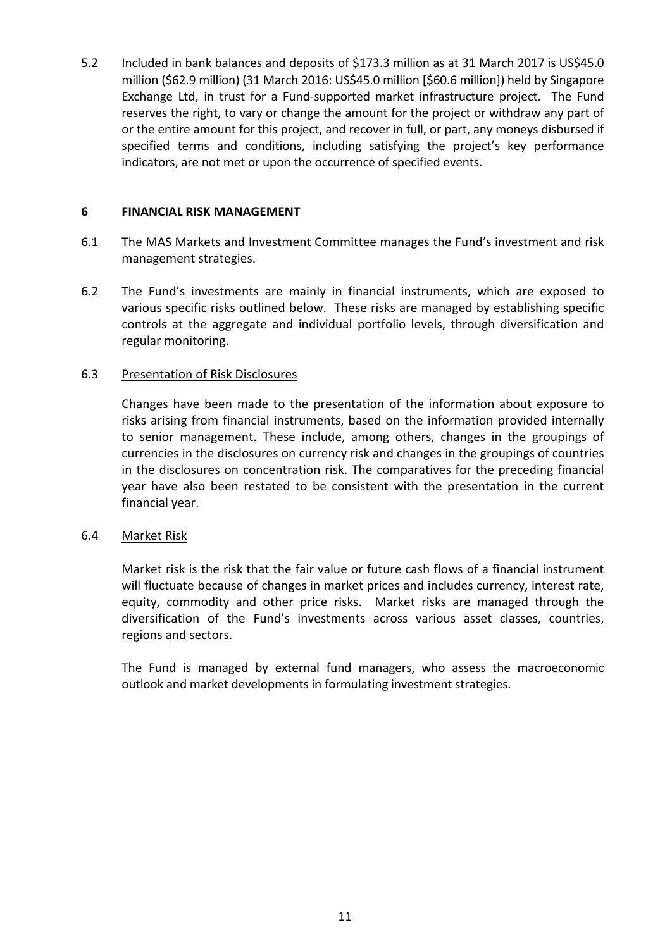5.2 Included in bank balances and deposits of \$173.3 million as at 31 March 2017 is US\$45.0 million (\$62.9 million) (31 March 2016: US\$45.0 million [\$60.6 million]) held by Singapore Exchange Ltd, in trust for a Fund-supported market infrastructure project. The Fund reserves the right, to vary or change the amount for the project or withdraw any part of or the entire amount for this project, and recover in full, or part, any moneys disbursed if specified terms and conditions, including satisfying the project's key performance indicators, are not met or upon the occurrence of specified events.

## **6 FINANCIAL RISK MANAGEMENT**

- 6.1 The MAS Markets and Investment Committee manages the Fund's investment and risk management strategies.
- 6.2 The Fund's investments are mainly in financial instruments, which are exposed to various specific risks outlined below. These risks are managed by establishing specific controls at the aggregate and individual portfolio levels, through diversification and regular monitoring.

## 6.3 Presentation of Risk Disclosures

Changes have been made to the presentation of the information about exposure to risks arising from financial instruments, based on the information provided internally to senior management. These include, among others, changes in the groupings of currencies in the disclosures on currency risk and changes in the groupings of countries in the disclosures on concentration risk. The comparatives for the preceding financial year have also been restated to be consistent with the presentation in the current financial year.

#### 6.4 Market Risk

Market risk is the risk that the fair value or future cash flows of a financial instrument will fluctuate because of changes in market prices and includes currency, interest rate, equity, commodity and other price risks. Market risks are managed through the diversification of the Fund's investments across various asset classes, countries, regions and sectors.

The Fund is managed by external fund managers, who assess the macroeconomic outlook and market developments in formulating investment strategies.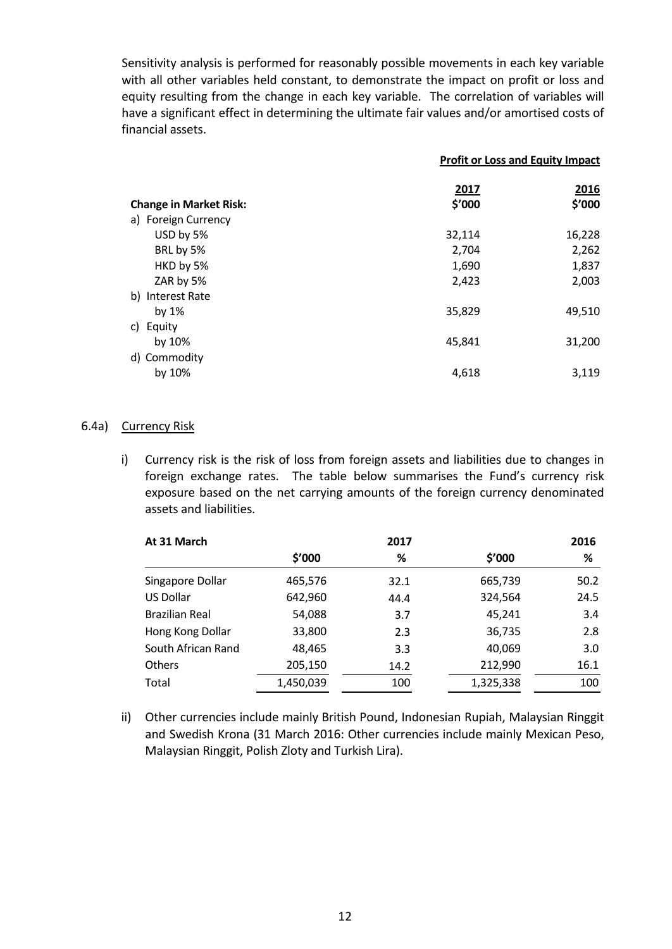Sensitivity analysis is performed for reasonably possible movements in each key variable with all other variables held constant, to demonstrate the impact on profit or loss and equity resulting from the change in each key variable. The correlation of variables will have a significant effect in determining the ultimate fair values and/or amortised costs of financial assets.

|                               | <b>Profit or Loss and Equity Impact</b> |                |
|-------------------------------|-----------------------------------------|----------------|
| <b>Change in Market Risk:</b> | 2017<br>\$'000                          | 2016<br>\$'000 |
| a) Foreign Currency           |                                         |                |
| USD by 5%                     | 32,114                                  | 16,228         |
| BRL by 5%                     | 2,704                                   | 2,262          |
| HKD by 5%                     | 1,690                                   | 1,837          |
| ZAR by 5%                     | 2,423                                   | 2,003          |
| b) Interest Rate              |                                         |                |
| by 1%                         | 35,829                                  | 49,510         |
| c) Equity                     |                                         |                |
| by 10%                        | 45,841                                  | 31,200         |
| d) Commodity                  |                                         |                |
| by 10%                        | 4,618                                   | 3,119          |
|                               |                                         |                |

#### 6.4a) Currency Risk

i) Currency risk is the risk of loss from foreign assets and liabilities due to changes in foreign exchange rates. The table below summarises the Fund's currency risk exposure based on the net carrying amounts of the foreign currency denominated assets and liabilities.

| At 31 March           |           | 2017 |           | 2016 |
|-----------------------|-----------|------|-----------|------|
|                       | \$′000    | ℅    | \$′000    | %    |
| Singapore Dollar      | 465,576   | 32.1 | 665,739   | 50.2 |
| <b>US Dollar</b>      | 642,960   | 44.4 | 324,564   | 24.5 |
| <b>Brazilian Real</b> | 54,088    | 3.7  | 45,241    | 3.4  |
| Hong Kong Dollar      | 33,800    | 2.3  | 36,735    | 2.8  |
| South African Rand    | 48,465    | 3.3  | 40,069    | 3.0  |
| <b>Others</b>         | 205,150   | 14.2 | 212,990   | 16.1 |
| Total                 | 1,450,039 | 100  | 1,325,338 | 100  |

ii) Other currencies include mainly British Pound, Indonesian Rupiah, Malaysian Ringgit and Swedish Krona (31 March 2016: Other currencies include mainly Mexican Peso, Malaysian Ringgit, Polish Zloty and Turkish Lira).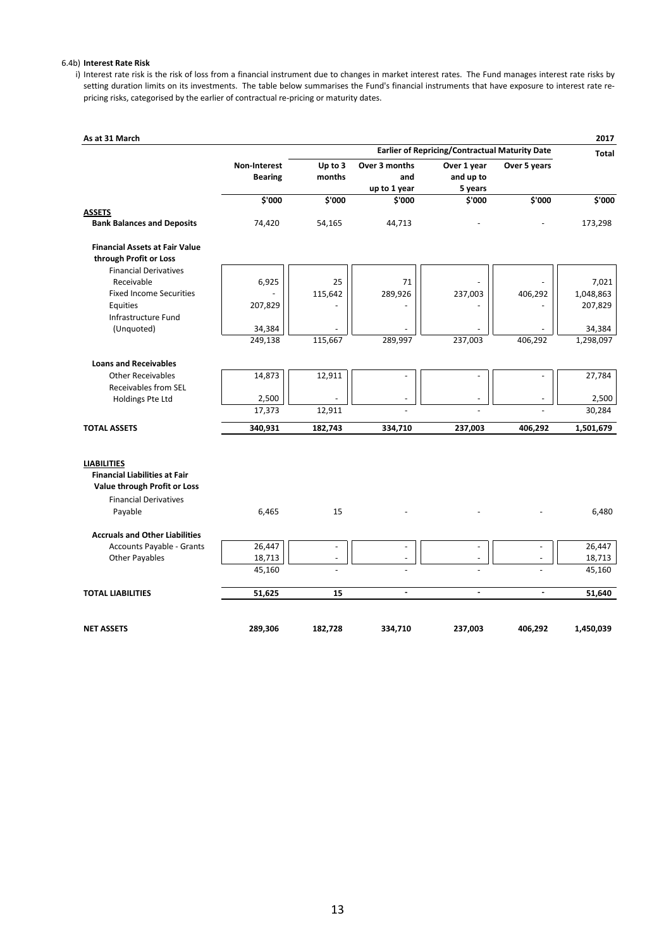#### 6.4b) **Interest Rate Risk**

i) Interest rate risk is the risk of loss from a financial instrument due to changes in market interest rates. The Fund manages interest rate risks by setting duration limits on its investments. The table below summarises the Fund's financial instruments that have exposure to interest rate repricing risks, categorised by the earlier of contractual re-pricing or maturity dates.

| As at 31 March                                             |                |                |                          |                                                |                          | 2017               |
|------------------------------------------------------------|----------------|----------------|--------------------------|------------------------------------------------|--------------------------|--------------------|
|                                                            |                |                |                          | Earlier of Repricing/Contractual Maturity Date |                          | <b>Total</b>       |
|                                                            | Non-Interest   | Up to 3        | Over 3 months            | Over 1 year                                    | Over 5 years             |                    |
|                                                            | <b>Bearing</b> | months         | and                      | and up to                                      |                          |                    |
|                                                            |                |                | up to 1 year             | 5 years                                        |                          |                    |
|                                                            | \$'000         | \$'000         | \$'000                   | \$'000                                         | \$'000                   | $\frac{1}{5}$ '000 |
| <b>ASSETS</b>                                              |                |                |                          |                                                |                          |                    |
| <b>Bank Balances and Deposits</b>                          | 74,420         | 54,165         | 44,713                   |                                                |                          | 173,298            |
| <b>Financial Assets at Fair Value</b>                      |                |                |                          |                                                |                          |                    |
| through Profit or Loss                                     |                |                |                          |                                                |                          |                    |
| <b>Financial Derivatives</b>                               |                |                |                          |                                                |                          |                    |
| Receivable                                                 | 6,925          | 25             | 71                       |                                                |                          | 7,021              |
| <b>Fixed Income Securities</b>                             |                | 115,642        | 289,926                  | 237,003                                        | 406,292                  | 1,048,863          |
| Equities                                                   | 207,829        |                |                          |                                                |                          | 207,829            |
| Infrastructure Fund                                        |                |                |                          |                                                |                          |                    |
| (Unquoted)                                                 | 34,384         |                |                          |                                                |                          | 34,384             |
|                                                            | 249,138        | 115,667        | 289,997                  | 237,003                                        | 406,292                  | 1,298,097          |
| <b>Loans and Receivables</b>                               |                |                |                          |                                                |                          |                    |
| <b>Other Receivables</b>                                   | 14,873         | 12,911         | $\overline{\phantom{a}}$ | ÷,                                             | $\blacksquare$           | 27,784             |
| <b>Receivables from SEL</b>                                |                |                |                          |                                                |                          |                    |
| Holdings Pte Ltd                                           | 2,500          |                |                          |                                                |                          | 2,500              |
|                                                            | 17,373         | 12,911         |                          |                                                | $\overline{a}$           | 30,284             |
| <b>TOTAL ASSETS</b>                                        | 340,931        | 182,743        | 334,710                  | 237,003                                        | 406,292                  | 1,501,679          |
|                                                            |                |                |                          |                                                |                          |                    |
| <b>LIABILITIES</b><br><b>Financial Liabilities at Fair</b> |                |                |                          |                                                |                          |                    |
| Value through Profit or Loss                               |                |                |                          |                                                |                          |                    |
| <b>Financial Derivatives</b>                               |                |                |                          |                                                |                          |                    |
| Payable                                                    | 6,465          | 15             |                          |                                                |                          | 6,480              |
| <b>Accruals and Other Liabilities</b>                      |                |                |                          |                                                |                          |                    |
| Accounts Payable - Grants                                  | 26,447         | $\sim$         | $\blacksquare$           | $\overline{\phantom{a}}$                       | $\bar{\phantom{a}}$      | 26,447             |
| <b>Other Payables</b>                                      | 18,713         | $\overline{a}$ | $\overline{\phantom{a}}$ | $\overline{\phantom{a}}$                       | $\overline{\phantom{a}}$ | 18,713             |
|                                                            | 45,160         |                |                          |                                                |                          | 45,160             |
| <b>TOTAL LIABILITIES</b>                                   | 51,625         | 15             | $\blacksquare$           | $\blacksquare$                                 | $\blacksquare$           | 51,640             |
|                                                            |                |                |                          |                                                |                          |                    |
| <b>NET ASSETS</b>                                          | 289,306        | 182,728        | 334,710                  | 237,003                                        | 406,292                  | 1,450,039          |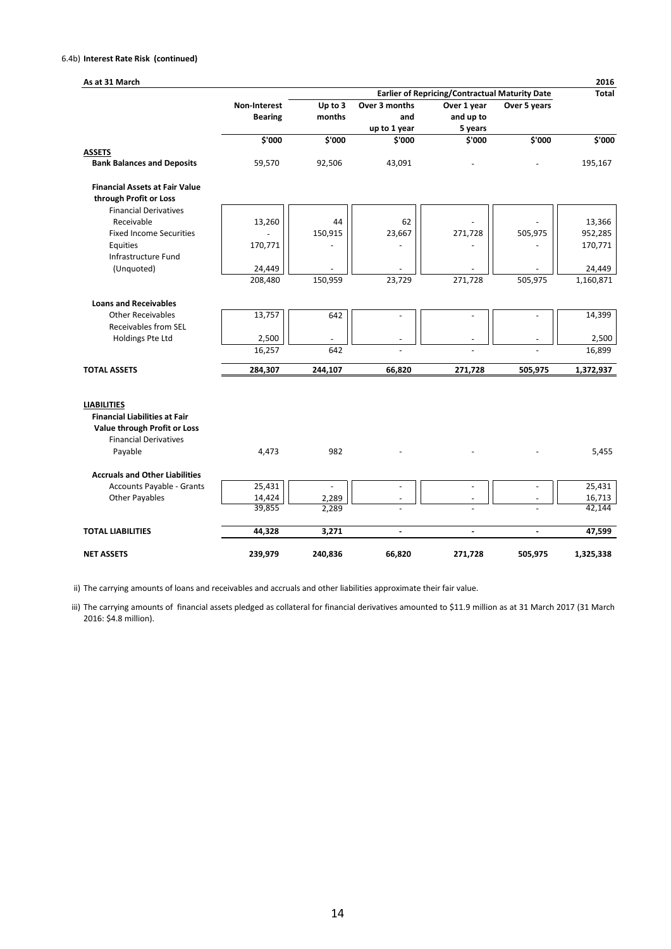#### 6.4b) **Interest Rate Risk (continued)**

| As at 31 March                                             |                |                |                |                                                       |              | 2016         |
|------------------------------------------------------------|----------------|----------------|----------------|-------------------------------------------------------|--------------|--------------|
|                                                            |                |                |                | <b>Earlier of Repricing/Contractual Maturity Date</b> |              | <b>Total</b> |
|                                                            | Non-Interest   | Up to 3        | Over 3 months  | Over 1 year                                           | Over 5 years |              |
|                                                            | <b>Bearing</b> | months         | and            | and up to                                             |              |              |
|                                                            |                |                | up to 1 year   | 5 years                                               |              |              |
|                                                            | \$'000         | \$'000         | \$'000         | \$'000                                                | \$'000       | \$'000       |
| <b>ASSETS</b>                                              |                |                |                |                                                       |              |              |
| <b>Bank Balances and Deposits</b>                          | 59,570         | 92,506         | 43,091         |                                                       |              | 195,167      |
| <b>Financial Assets at Fair Value</b>                      |                |                |                |                                                       |              |              |
| through Profit or Loss                                     |                |                |                |                                                       |              |              |
| <b>Financial Derivatives</b>                               |                |                |                |                                                       |              |              |
| Receivable                                                 | 13,260         | 44             | 62             |                                                       |              | 13,366       |
| <b>Fixed Income Securities</b>                             |                | 150,915        | 23,667         | 271,728                                               | 505,975      | 952,285      |
| Equities                                                   | 170,771        |                |                |                                                       |              | 170,771      |
| Infrastructure Fund                                        |                |                |                |                                                       |              |              |
| (Unquoted)                                                 | 24,449         |                |                |                                                       |              | 24,449       |
|                                                            | 208,480        | 150,959        | 23,729         | 271,728                                               | 505,975      | 1,160,871    |
| <b>Loans and Receivables</b>                               |                |                |                |                                                       |              |              |
| <b>Other Receivables</b>                                   | 13,757         | 642            |                |                                                       |              | 14,399       |
| Receivables from SEL                                       |                |                |                |                                                       |              |              |
| Holdings Pte Ltd                                           | 2,500          |                |                |                                                       |              | 2,500        |
|                                                            | 16,257         | 642            |                |                                                       |              | 16,899       |
| <b>TOTAL ASSETS</b>                                        | 284,307        | 244,107        | 66,820         | 271,728                                               | 505,975      | 1,372,937    |
|                                                            |                |                |                |                                                       |              |              |
| <b>LIABILITIES</b><br><b>Financial Liabilities at Fair</b> |                |                |                |                                                       |              |              |
| Value through Profit or Loss                               |                |                |                |                                                       |              |              |
| <b>Financial Derivatives</b>                               |                |                |                |                                                       |              |              |
| Payable                                                    | 4,473          | 982            |                |                                                       |              | 5,455        |
|                                                            |                |                |                |                                                       |              |              |
| <b>Accruals and Other Liabilities</b>                      |                |                |                |                                                       |              |              |
| Accounts Payable - Grants                                  | 25,431         | $\blacksquare$ | $\blacksquare$ | $\blacksquare$                                        |              | 25,431       |
| <b>Other Payables</b>                                      | 14,424         | 2,289          |                |                                                       |              | 16,713       |
|                                                            | 39,855         | 2,289          |                |                                                       |              | 42,144       |
| <b>TOTAL LIABILITIES</b>                                   | 44,328         | 3,271          | $\sim$         | $\sim$                                                | $\sim$       | 47,599       |
| <b>NET ASSETS</b>                                          | 239,979        | 240,836        | 66,820         | 271,728                                               | 505,975      | 1,325,338    |

ii) The carrying amounts of loans and receivables and accruals and other liabilities approximate their fair value.

iii) The carrying amounts of financial assets pledged as collateral for financial derivatives amounted to \$11.9 million as at 31 March 2017 (31 March 2016: \$4.8 million).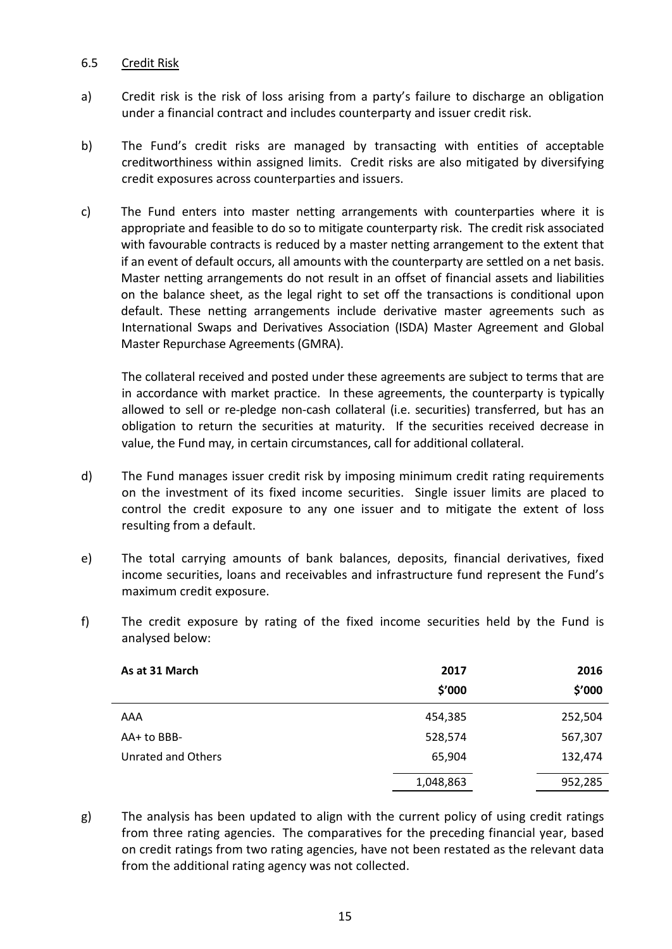## 6.5 Credit Risk

- a) Credit risk is the risk of loss arising from a party's failure to discharge an obligation under a financial contract and includes counterparty and issuer credit risk.
- b) The Fund's credit risks are managed by transacting with entities of acceptable creditworthiness within assigned limits. Credit risks are also mitigated by diversifying credit exposures across counterparties and issuers.
- c) The Fund enters into master netting arrangements with counterparties where it is appropriate and feasible to do so to mitigate counterparty risk. The credit risk associated with favourable contracts is reduced by a master netting arrangement to the extent that if an event of default occurs, all amounts with the counterparty are settled on a net basis. Master netting arrangements do not result in an offset of financial assets and liabilities on the balance sheet, as the legal right to set off the transactions is conditional upon default. These netting arrangements include derivative master agreements such as International Swaps and Derivatives Association (ISDA) Master Agreement and Global Master Repurchase Agreements (GMRA).

The collateral received and posted under these agreements are subject to terms that are in accordance with market practice. In these agreements, the counterparty is typically allowed to sell or re-pledge non-cash collateral (i.e. securities) transferred, but has an obligation to return the securities at maturity. If the securities received decrease in value, the Fund may, in certain circumstances, call for additional collateral.

- d) The Fund manages issuer credit risk by imposing minimum credit rating requirements on the investment of its fixed income securities. Single issuer limits are placed to control the credit exposure to any one issuer and to mitigate the extent of loss resulting from a default.
- e) The total carrying amounts of bank balances, deposits, financial derivatives, fixed income securities, loans and receivables and infrastructure fund represent the Fund's maximum credit exposure.
- f) The credit exposure by rating of the fixed income securities held by the Fund is analysed below:

| As at 31 March     | 2017<br>\$′000 | 2016<br>\$′000 |
|--------------------|----------------|----------------|
| AAA                | 454,385        | 252,504        |
| AA+ to BBB-        | 528,574        | 567,307        |
| Unrated and Others | 65,904         | 132,474        |
|                    | 1,048,863      | 952,285        |

g) The analysis has been updated to align with the current policy of using credit ratings from three rating agencies. The comparatives for the preceding financial year, based on credit ratings from two rating agencies, have not been restated as the relevant data from the additional rating agency was not collected.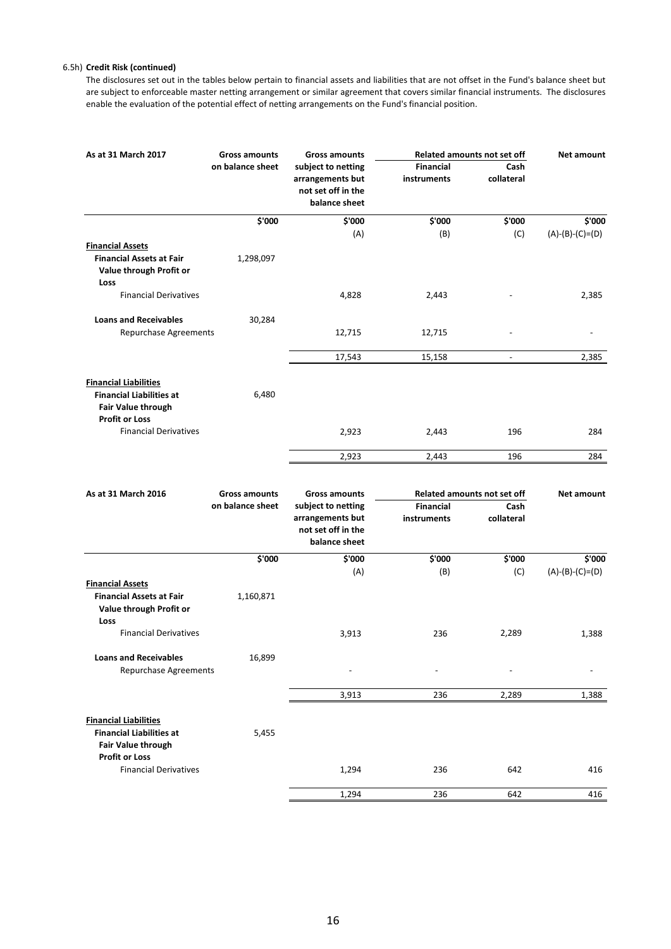#### 6.5h) **Credit Risk (continued)**

The disclosures set out in the tables below pertain to financial assets and liabilities that are not offset in the Fund's balance sheet but are subject to enforceable master netting arrangement or similar agreement that covers similar financial instruments. The disclosures enable the evaluation of the potential effect of netting arrangements on the Fund's financial position.

| As at 31 March 2017                                                                                                   | <b>Gross amounts</b> | <b>Gross amounts</b>                                                          |                                 | <b>Related amounts not set off</b> | <b>Net amount</b> |
|-----------------------------------------------------------------------------------------------------------------------|----------------------|-------------------------------------------------------------------------------|---------------------------------|------------------------------------|-------------------|
|                                                                                                                       | on balance sheet     | subject to netting<br>arrangements but<br>not set off in the<br>balance sheet | <b>Financial</b><br>instruments | Cash<br>collateral                 |                   |
|                                                                                                                       | \$'000               | \$'000                                                                        | \$'000                          | \$'000                             | \$'000            |
|                                                                                                                       |                      | (A)                                                                           | (B)                             | (C)                                | $(A)-(B)-(C)=(D)$ |
| <b>Financial Assets</b><br><b>Financial Assets at Fair</b><br>Value through Profit or<br>Loss                         | 1,298,097            |                                                                               |                                 |                                    |                   |
| <b>Financial Derivatives</b>                                                                                          |                      | 4,828                                                                         | 2,443                           |                                    | 2,385             |
| <b>Loans and Receivables</b>                                                                                          | 30,284               |                                                                               |                                 |                                    |                   |
| Repurchase Agreements                                                                                                 |                      | 12,715                                                                        | 12,715                          |                                    |                   |
|                                                                                                                       |                      | 17,543                                                                        | 15,158                          | $\overline{\phantom{a}}$           | 2,385             |
| <b>Financial Liabilities</b><br><b>Financial Liabilities at</b><br><b>Fair Value through</b>                          | 6,480                |                                                                               |                                 |                                    |                   |
| <b>Profit or Loss</b><br><b>Financial Derivatives</b>                                                                 |                      | 2,923                                                                         | 2,443                           | 196                                | 284               |
|                                                                                                                       |                      | 2,923                                                                         | 2,443                           | 196                                | 284               |
|                                                                                                                       |                      |                                                                               |                                 |                                    |                   |
| As at 31 March 2016                                                                                                   | <b>Gross amounts</b> | <b>Gross amounts</b>                                                          |                                 | <b>Related amounts not set off</b> | <b>Net amount</b> |
|                                                                                                                       | on balance sheet     | subject to netting<br>arrangements but<br>not set off in the<br>balance sheet | <b>Financial</b><br>instruments | Cash<br>collateral                 |                   |
|                                                                                                                       | \$'000               | \$'000                                                                        | \$'000                          | \$'000                             | \$'000            |
| <b>Financial Assets</b>                                                                                               |                      | (A)                                                                           | (B)                             | (C)                                | $(A)-(B)-(C)=(D)$ |
| <b>Financial Assets at Fair</b><br>Value through Profit or<br>Loss                                                    | 1,160,871            |                                                                               |                                 |                                    |                   |
| <b>Financial Derivatives</b>                                                                                          |                      | 3,913                                                                         | 236                             | 2,289                              | 1,388             |
| <b>Loans and Receivables</b><br>Repurchase Agreements                                                                 | 16,899               |                                                                               |                                 |                                    |                   |
|                                                                                                                       |                      | 3,913                                                                         | 236                             | 2,289                              | 1,388             |
| <b>Financial Liabilities</b><br><b>Financial Liabilities at</b><br><b>Fair Value through</b><br><b>Profit or Loss</b> | 5,455                |                                                                               |                                 |                                    |                   |
| <b>Financial Derivatives</b>                                                                                          |                      | 1,294                                                                         | 236                             | 642                                | 416               |
|                                                                                                                       |                      | 1,294                                                                         | 236                             | 642                                | 416               |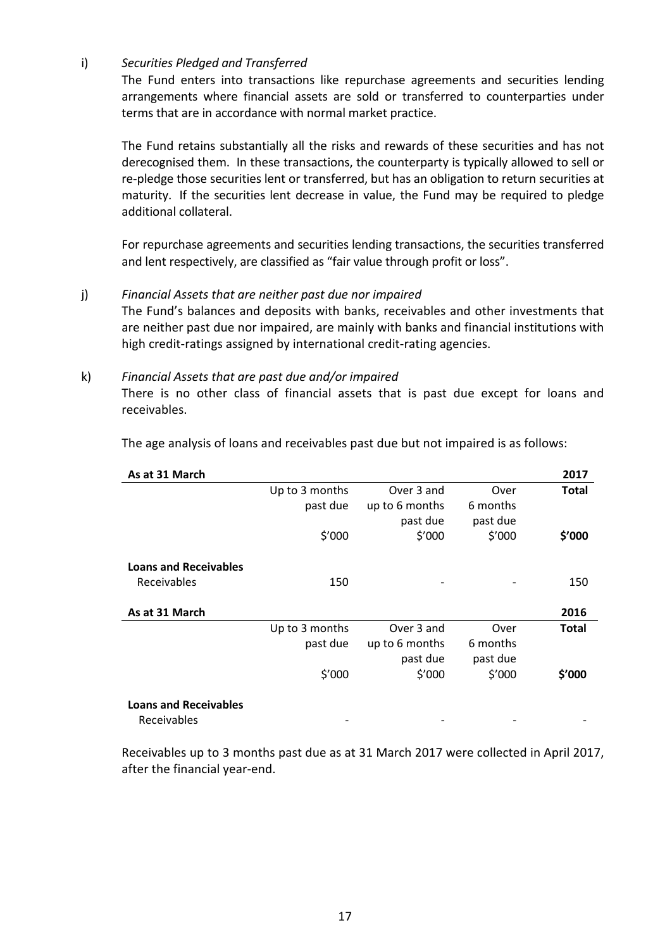i) *Securities Pledged and Transferred*

The Fund enters into transactions like repurchase agreements and securities lending arrangements where financial assets are sold or transferred to counterparties under terms that are in accordance with normal market practice.

The Fund retains substantially all the risks and rewards of these securities and has not derecognised them. In these transactions, the counterparty is typically allowed to sell or re-pledge those securities lent or transferred, but has an obligation to return securities at maturity. If the securities lent decrease in value, the Fund may be required to pledge additional collateral.

For repurchase agreements and securities lending transactions, the securities transferred and lent respectively, are classified as "fair value through profit or loss".

#### j) *Financial Assets that are neither past due nor impaired*

The Fund's balances and deposits with banks, receivables and other investments that are neither past due nor impaired, are mainly with banks and financial institutions with high credit-ratings assigned by international credit-rating agencies.

#### k) *Financial Assets that are past due and/or impaired*

There is no other class of financial assets that is past due except for loans and receivables.

| As at 31 March               |                |                |          | 2017         |
|------------------------------|----------------|----------------|----------|--------------|
|                              | Up to 3 months | Over 3 and     | Over     | <b>Total</b> |
|                              | past due       | up to 6 months | 6 months |              |
|                              |                | past due       | past due |              |
|                              | \$′000         | \$′000         | \$′000   | \$'000       |
| <b>Loans and Receivables</b> |                |                |          |              |
| <b>Receivables</b>           | 150            |                |          | 150          |
|                              |                |                |          |              |
| As at 31 March               |                |                |          | 2016         |
|                              | Up to 3 months | Over 3 and     | Over     | <b>Total</b> |
|                              | past due       | up to 6 months | 6 months |              |
|                              |                | past due       | past due |              |
|                              | \$′000         | \$′000         | \$′000   | \$'000       |
| <b>Loans and Receivables</b> |                |                |          |              |
| Receivables                  |                |                |          |              |

The age analysis of loans and receivables past due but not impaired is as follows:

Receivables up to 3 months past due as at 31 March 2017 were collected in April 2017, after the financial year-end.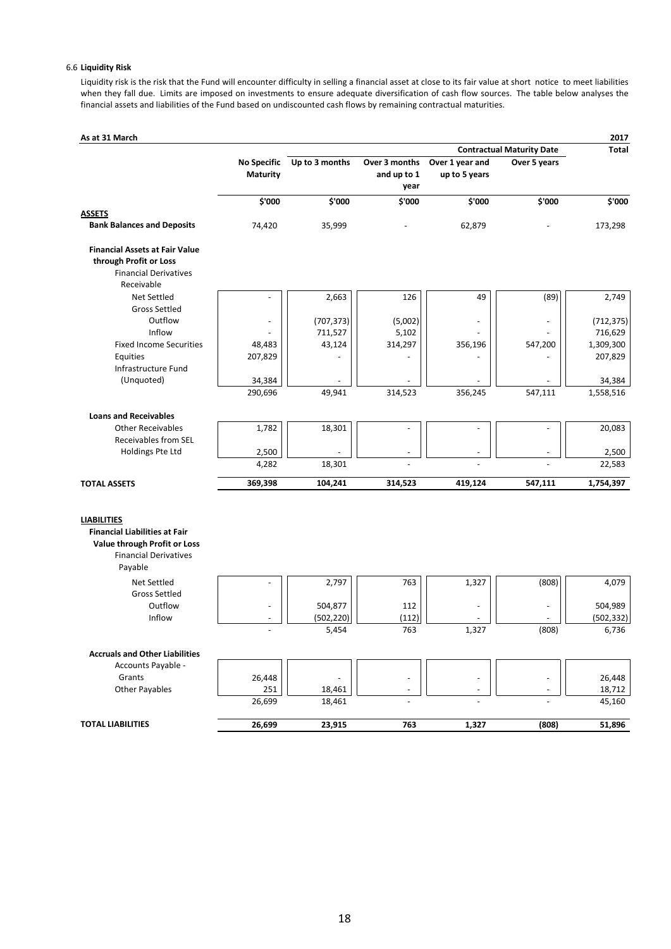#### 6.6 **Liquidity Risk**

Liquidity risk is the risk that the Fund will encounter difficulty in selling a financial asset at close to its fair value at short notice to meet liabilities when they fall due. Limits are imposed on investments to ensure adequate diversification of cash flow sources. The table below analyses the financial assets and liabilities of the Fund based on undiscounted cash flows by remaining contractual maturities.

| As at 31 March                        |                    |                |                          |                          |                                  | 2017                |
|---------------------------------------|--------------------|----------------|--------------------------|--------------------------|----------------------------------|---------------------|
|                                       |                    |                |                          |                          | <b>Contractual Maturity Date</b> | Total               |
|                                       | <b>No Specific</b> | Up to 3 months | Over 3 months            | Over 1 year and          | Over 5 years                     |                     |
|                                       | Maturity           |                | and up to 1              | up to 5 years            |                                  |                     |
|                                       |                    |                | year                     |                          |                                  |                     |
| <b>ASSETS</b>                         | \$'000             | \$'000         | \$'000                   | \$'000                   | \$'000                           | \$'000              |
| <b>Bank Balances and Deposits</b>     | 74,420             | 35,999         |                          | 62,879                   |                                  | 173,298             |
|                                       |                    |                |                          |                          |                                  |                     |
| <b>Financial Assets at Fair Value</b> |                    |                |                          |                          |                                  |                     |
| through Profit or Loss                |                    |                |                          |                          |                                  |                     |
| <b>Financial Derivatives</b>          |                    |                |                          |                          |                                  |                     |
| Receivable                            |                    |                |                          |                          |                                  |                     |
| Net Settled                           |                    | 2,663          | 126                      | 49                       | (89)                             | 2,749               |
| <b>Gross Settled</b>                  |                    |                |                          |                          |                                  |                     |
| Outflow                               |                    | (707, 373)     | (5,002)                  | ÷,                       |                                  | (712, 375)          |
| Inflow                                |                    | 711,527        | 5,102                    |                          |                                  | 716,629             |
| <b>Fixed Income Securities</b>        | 48,483             | 43,124         | 314,297                  | 356,196                  | 547,200                          | 1,309,300           |
| Equities                              | 207,829            |                |                          |                          |                                  | 207,829             |
| Infrastructure Fund<br>(Unquoted)     |                    |                |                          |                          |                                  |                     |
|                                       | 34,384<br>290,696  | 49,941         | 314,523                  | 356,245                  | 547,111                          | 34,384<br>1,558,516 |
|                                       |                    |                |                          |                          |                                  |                     |
| <b>Loans and Receivables</b>          |                    |                |                          |                          |                                  |                     |
| <b>Other Receivables</b>              | 1,782              | 18,301         | ÷,                       | $\overline{\phantom{a}}$ | ÷,                               | 20,083              |
| Receivables from SEL                  |                    |                |                          |                          |                                  |                     |
| Holdings Pte Ltd                      | 2,500              |                |                          |                          |                                  | 2,500               |
|                                       | 4,282              | 18,301         |                          |                          |                                  | 22,583              |
| <b>TOTAL ASSETS</b>                   | 369,398            | 104,241        | 314,523                  | 419,124                  | 547,111                          | 1,754,397           |
|                                       |                    |                |                          |                          |                                  |                     |
| <b>LIABILITIES</b>                    |                    |                |                          |                          |                                  |                     |
| <b>Financial Liabilities at Fair</b>  |                    |                |                          |                          |                                  |                     |
| Value through Profit or Loss          |                    |                |                          |                          |                                  |                     |
| <b>Financial Derivatives</b>          |                    |                |                          |                          |                                  |                     |
| Payable                               |                    |                |                          |                          |                                  |                     |
| Net Settled                           |                    | 2,797          | 763                      | 1,327                    | (808)                            | 4,079               |
| <b>Gross Settled</b>                  |                    |                |                          |                          |                                  |                     |
| Outflow                               |                    | 504,877        | 112                      | $\overline{\phantom{a}}$ |                                  | 504,989             |
| Inflow                                |                    | (502, 220)     | (112)                    |                          |                                  | (502, 332)          |
|                                       |                    | 5,454          | 763                      | 1,327                    | (808)                            | 6,736               |
| <b>Accruals and Other Liabilities</b> |                    |                |                          |                          |                                  |                     |
| Accounts Payable -                    |                    |                |                          |                          |                                  |                     |
| Grants                                | 26,448             |                | $\overline{a}$           | $\overline{\phantom{m}}$ |                                  | 26,448              |
| Other Payables                        | 251                | 18,461         | $\overline{\phantom{a}}$ | ÷,                       |                                  | 18,712              |
|                                       | 26,699             | 18,461         |                          |                          |                                  | 45,160              |
|                                       |                    |                |                          |                          |                                  |                     |
| <b>TOTAL LIABILITIES</b>              | 26,699             | 23,915         | 763                      | 1,327                    | (808)                            | 51,896              |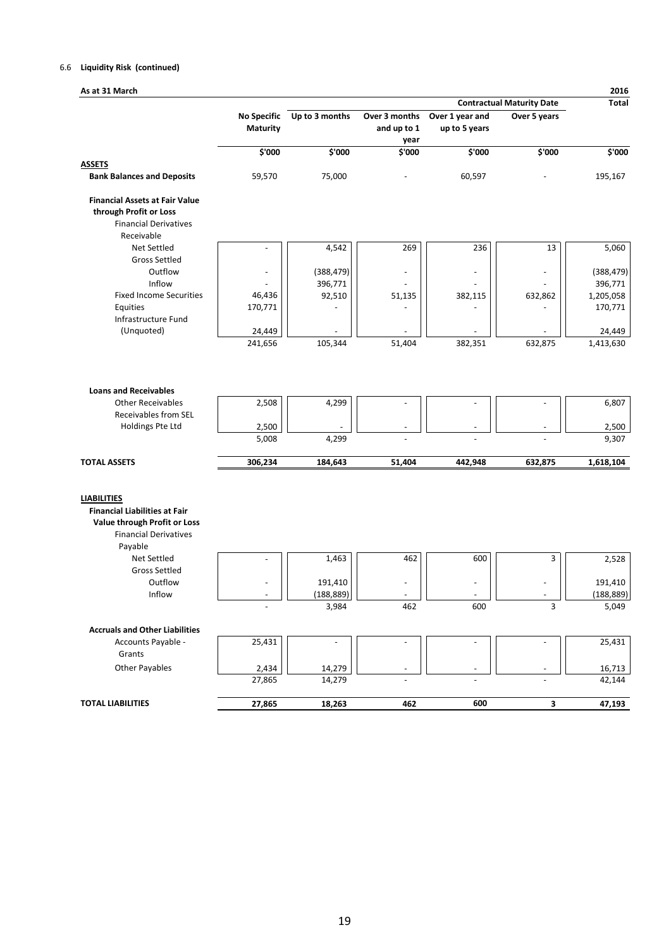#### 6.6 **Liquidity Risk (continued)**

| As at 31 March                                                                                                                        |                                |                       |                              |                                  |                                  | 2016                  |
|---------------------------------------------------------------------------------------------------------------------------------------|--------------------------------|-----------------------|------------------------------|----------------------------------|----------------------------------|-----------------------|
|                                                                                                                                       |                                |                       |                              |                                  | <b>Contractual Maturity Date</b> | <b>Total</b>          |
|                                                                                                                                       | <b>No Specific</b><br>Maturity | Up to 3 months        | Over 3 months<br>and up to 1 | Over 1 year and<br>up to 5 years | Over 5 years                     |                       |
|                                                                                                                                       | \$'000                         | \$'000                | year<br>\$'000               | \$'000                           | \$'000                           | \$'000                |
| <b>ASSETS</b>                                                                                                                         |                                |                       |                              |                                  |                                  |                       |
| <b>Bank Balances and Deposits</b>                                                                                                     | 59,570                         | 75,000                |                              | 60,597                           |                                  | 195,167               |
| <b>Financial Assets at Fair Value</b><br>through Profit or Loss<br><b>Financial Derivatives</b>                                       |                                |                       |                              |                                  |                                  |                       |
| Receivable                                                                                                                            |                                |                       |                              |                                  |                                  |                       |
| Net Settled                                                                                                                           |                                | 4,542                 | 269                          | 236                              | 13                               | 5,060                 |
| <b>Gross Settled</b>                                                                                                                  |                                |                       |                              |                                  |                                  |                       |
| Outflow<br>Inflow                                                                                                                     |                                | (388, 479)            | -                            |                                  |                                  | (388, 479)            |
| <b>Fixed Income Securities</b>                                                                                                        | 46,436                         | 396,771<br>92,510     | 51,135                       | 382,115                          | 632,862                          | 396,771<br>1,205,058  |
| Equities                                                                                                                              | 170,771                        |                       |                              |                                  |                                  | 170,771               |
| Infrastructure Fund                                                                                                                   |                                |                       |                              |                                  |                                  |                       |
| (Unquoted)                                                                                                                            | 24,449                         |                       |                              |                                  |                                  | 24,449                |
|                                                                                                                                       | 241,656                        | 105,344               | 51,404                       | 382,351                          | 632,875                          | 1,413,630             |
| Receivables from SEL<br>Holdings Pte Ltd                                                                                              | 2,500<br>5,008                 | 4,299                 |                              |                                  |                                  | 2,500<br>9,307        |
| <b>TOTAL ASSETS</b>                                                                                                                   | 306,234                        | 184,643               | 51,404                       | 442,948                          | 632,875                          | 1,618,104             |
| <b>LIABILITIES</b><br><b>Financial Liabilities at Fair</b><br>Value through Profit or Loss<br><b>Financial Derivatives</b><br>Payable |                                |                       |                              |                                  |                                  |                       |
| Net Settled                                                                                                                           |                                | 1,463                 | 462                          | 600                              | 3                                | 2,528                 |
| <b>Gross Settled</b><br>Outflow<br>Inflow                                                                                             |                                | 191,410<br>(188, 889) | L                            |                                  |                                  | 191,410<br>(188, 889) |
|                                                                                                                                       |                                | 3,984                 | 462                          | 600                              | 3                                | 5,049                 |
| <b>Accruals and Other Liabilities</b>                                                                                                 |                                |                       |                              |                                  |                                  |                       |
| Accounts Payable -<br>Grants                                                                                                          | 25,431                         |                       |                              |                                  |                                  | 25,431                |
| <b>Other Payables</b>                                                                                                                 | 2,434                          | 14,279                |                              |                                  |                                  | 16,713                |
|                                                                                                                                       | 27,865                         | 14,279                |                              |                                  |                                  | 42,144                |
| <b>TOTAL LIABILITIES</b>                                                                                                              | 27,865                         | 18,263                | 462                          | 600                              | 3                                | 47,193                |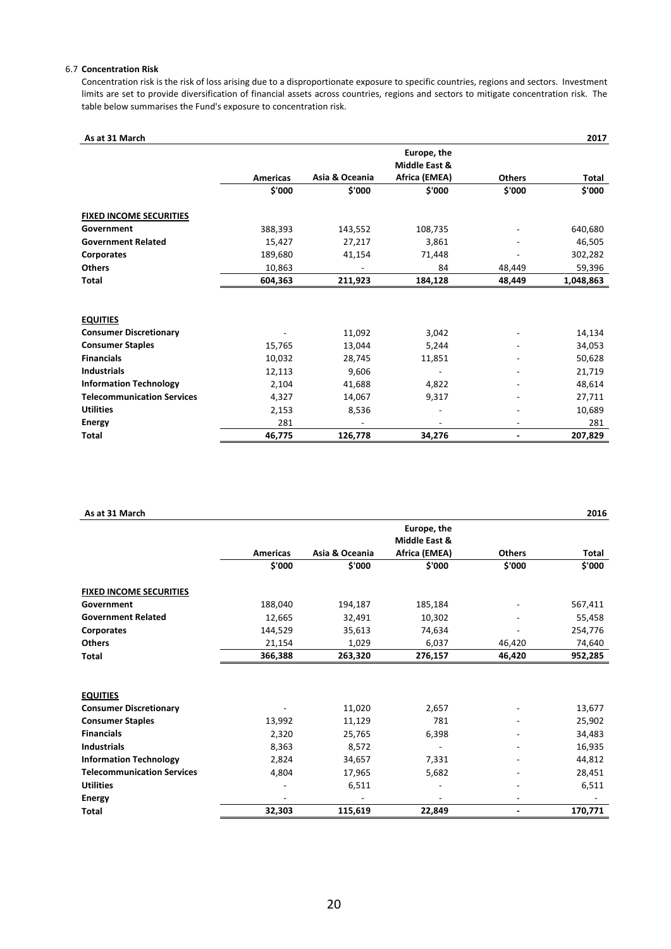#### 6.7 **Concentration Risk**

Concentration risk is the risk of loss arising due to a disproportionate exposure to specific countries, regions and sectors. Investment limits are set to provide diversification of financial assets across countries, regions and sectors to mitigate concentration risk. The table below summarises the Fund's exposure to concentration risk.

| As at 31 March                    |                 |                |                              |               | 2017         |
|-----------------------------------|-----------------|----------------|------------------------------|---------------|--------------|
|                                   |                 |                | Europe, the<br>Middle East & |               |              |
|                                   | <b>Americas</b> | Asia & Oceania | Africa (EMEA)                | <b>Others</b> | <b>Total</b> |
|                                   | \$'000          | \$'000         | \$'000                       | \$'000        | \$'000       |
| <b>FIXED INCOME SECURITIES</b>    |                 |                |                              |               |              |
| Government                        | 388,393         | 143,552        | 108,735                      |               | 640,680      |
| <b>Government Related</b>         | 15,427          | 27,217         | 3,861                        |               | 46,505       |
| <b>Corporates</b>                 | 189,680         | 41,154         | 71,448                       |               | 302,282      |
| <b>Others</b>                     | 10,863          |                | 84                           | 48,449        | 59,396       |
| <b>Total</b>                      | 604,363         | 211,923        | 184,128                      | 48,449        | 1,048,863    |
|                                   |                 |                |                              |               |              |
| <b>EQUITIES</b>                   |                 |                |                              |               |              |
| <b>Consumer Discretionary</b>     |                 | 11,092         | 3,042                        |               | 14,134       |
| <b>Consumer Staples</b>           | 15,765          | 13,044         | 5,244                        |               | 34,053       |
| <b>Financials</b>                 | 10,032          | 28,745         | 11,851                       |               | 50,628       |
| <b>Industrials</b>                | 12,113          | 9,606          |                              |               | 21,719       |
| <b>Information Technology</b>     | 2,104           | 41,688         | 4,822                        |               | 48,614       |
| <b>Telecommunication Services</b> | 4,327           | 14,067         | 9,317                        |               | 27,711       |
| <b>Utilities</b>                  | 2,153           | 8,536          |                              |               | 10,689       |
| <b>Energy</b>                     | 281             |                | ٠                            |               | 281          |
| <b>Total</b>                      | 46,775          | 126,778        | 34,276                       | ۰             | 207,829      |

| As at 31 March                    |                 |                |                              |               | 2016    |
|-----------------------------------|-----------------|----------------|------------------------------|---------------|---------|
|                                   |                 |                | Europe, the<br>Middle East & |               |         |
|                                   | <b>Americas</b> | Asia & Oceania | Africa (EMEA)                | <b>Others</b> | Total   |
|                                   | \$'000          | \$'000         | \$'000                       | \$'000        | \$'000  |
| <b>FIXED INCOME SECURITIES</b>    |                 |                |                              |               |         |
| Government                        | 188,040         | 194,187        | 185,184                      |               | 567,411 |
| <b>Government Related</b>         | 12,665          | 32,491         | 10,302                       |               | 55,458  |
| Corporates                        | 144,529         | 35,613         | 74,634                       |               | 254,776 |
| <b>Others</b>                     | 21,154          | 1,029          | 6,037                        | 46,420        | 74,640  |
| <b>Total</b>                      | 366,388         | 263,320        | 276,157                      | 46,420        | 952,285 |
|                                   |                 |                |                              |               |         |
| <b>EQUITIES</b>                   |                 |                |                              |               |         |
| <b>Consumer Discretionary</b>     |                 | 11,020         | 2,657                        |               | 13,677  |
| <b>Consumer Staples</b>           | 13,992          | 11,129         | 781                          |               | 25,902  |
| <b>Financials</b>                 | 2,320           | 25,765         | 6,398                        |               | 34,483  |
| <b>Industrials</b>                | 8,363           | 8,572          |                              |               | 16,935  |
| <b>Information Technology</b>     | 2,824           | 34,657         | 7,331                        |               | 44,812  |
| <b>Telecommunication Services</b> | 4,804           | 17,965         | 5,682                        |               | 28,451  |
| <b>Utilities</b>                  |                 | 6,511          |                              |               | 6,511   |
| <b>Energy</b>                     |                 |                |                              |               |         |
| <b>Total</b>                      | 32,303          | 115,619        | 22,849                       |               | 170,771 |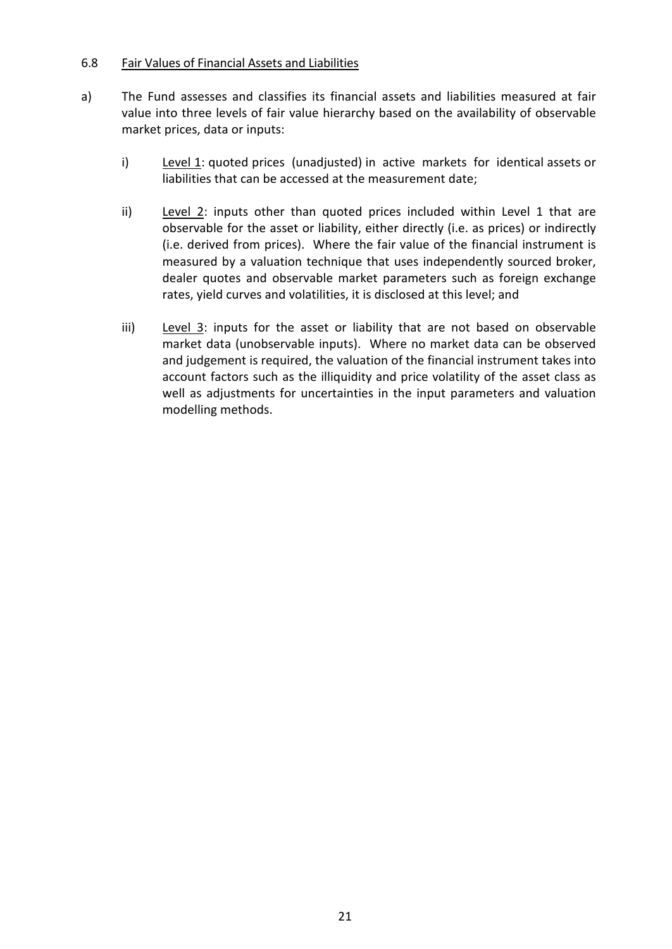## 6.8 Fair Values of Financial Assets and Liabilities

- a) The Fund assesses and classifies its financial assets and liabilities measured at fair value into three levels of fair value hierarchy based on the availability of observable market prices, data or inputs:
	- i) Level 1: quoted prices (unadjusted) in active markets for identical assets or liabilities that can be accessed at the measurement date;
	- ii) Level 2: inputs other than quoted prices included within Level 1 that are observable for the asset or liability, either directly (i.e. as prices) or indirectly (i.e. derived from prices). Where the fair value of the financial instrument is measured by a valuation technique that uses independently sourced broker, dealer quotes and observable market parameters such as foreign exchange rates, yield curves and volatilities, it is disclosed at this level; and
	- iii) Level 3: inputs for the asset or liability that are not based on observable market data (unobservable inputs). Where no market data can be observed and judgement is required, the valuation of the financial instrument takes into account factors such as the illiquidity and price volatility of the asset class as well as adjustments for uncertainties in the input parameters and valuation modelling methods.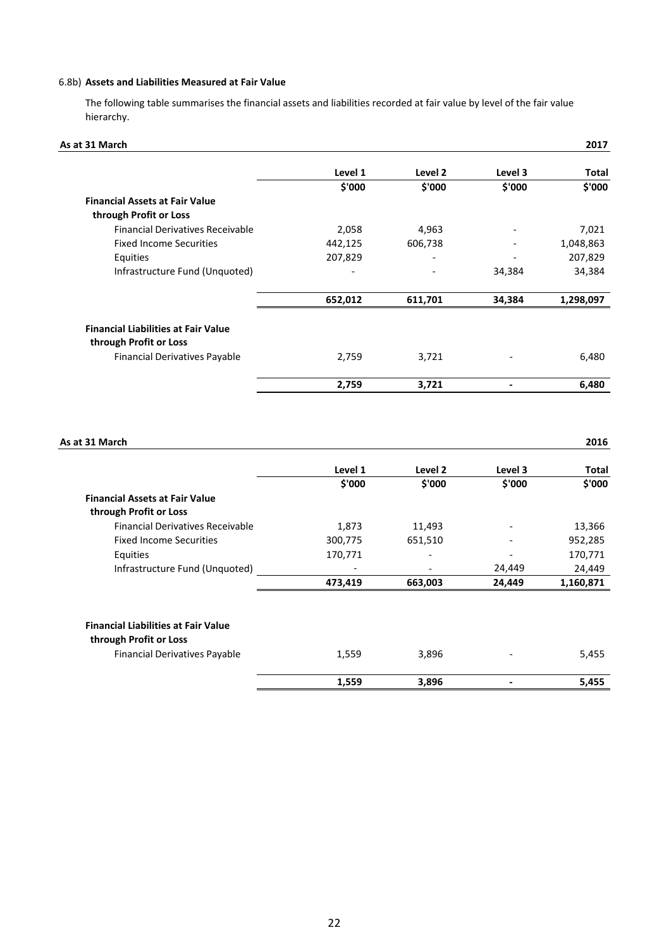#### 6.8b) **Assets and Liabilities Measured at Fair Value**

The following table summarises the financial assets and liabilities recorded at fair value by level of the fair value hierarchy.

| As at 31 March                             |         |         |         | 2017      |
|--------------------------------------------|---------|---------|---------|-----------|
|                                            | Level 1 | Level 2 | Level 3 | Total     |
|                                            | \$'000  | \$'000  | \$'000  | \$'000    |
| <b>Financial Assets at Fair Value</b>      |         |         |         |           |
| through Profit or Loss                     |         |         |         |           |
| <b>Financial Derivatives Receivable</b>    | 2,058   | 4,963   |         | 7,021     |
| <b>Fixed Income Securities</b>             | 442,125 | 606,738 |         | 1,048,863 |
| Equities                                   | 207,829 |         |         | 207,829   |
| Infrastructure Fund (Unquoted)             |         |         | 34,384  | 34,384    |
|                                            | 652,012 | 611,701 | 34,384  | 1,298,097 |
| <b>Financial Liabilities at Fair Value</b> |         |         |         |           |
| through Profit or Loss                     |         |         |         |           |
| <b>Financial Derivatives Payable</b>       | 2,759   | 3,721   |         | 6,480     |
|                                            | 2,759   | 3,721   |         | 6,480     |

| As at 31 March                                          |         |                          |         | 2016      |
|---------------------------------------------------------|---------|--------------------------|---------|-----------|
|                                                         | Level 1 | Level 2                  | Level 3 | Total     |
|                                                         | \$'000  | \$'000                   | \$'000  | \$'000    |
| <b>Financial Assets at Fair Value</b>                   |         |                          |         |           |
| through Profit or Loss                                  |         |                          |         |           |
| <b>Financial Derivatives Receivable</b>                 | 1,873   | 11,493                   |         | 13,366    |
| <b>Fixed Income Securities</b>                          | 300,775 | 651,510                  |         | 952,285   |
| Equities                                                | 170,771 | -                        |         | 170,771   |
| Infrastructure Fund (Unquoted)                          |         | $\overline{\phantom{0}}$ | 24,449  | 24,449    |
|                                                         | 473,419 | 663,003                  | 24,449  | 1,160,871 |
|                                                         |         |                          |         |           |
| <b>Financial Liabilities at Fair Value</b>              |         |                          |         |           |
| through Profit or Loss<br>Financial Derivatives Payable | 1,559   | 3,896                    |         | 5,455     |
|                                                         | 1,559   | 3,896                    |         | 5,455     |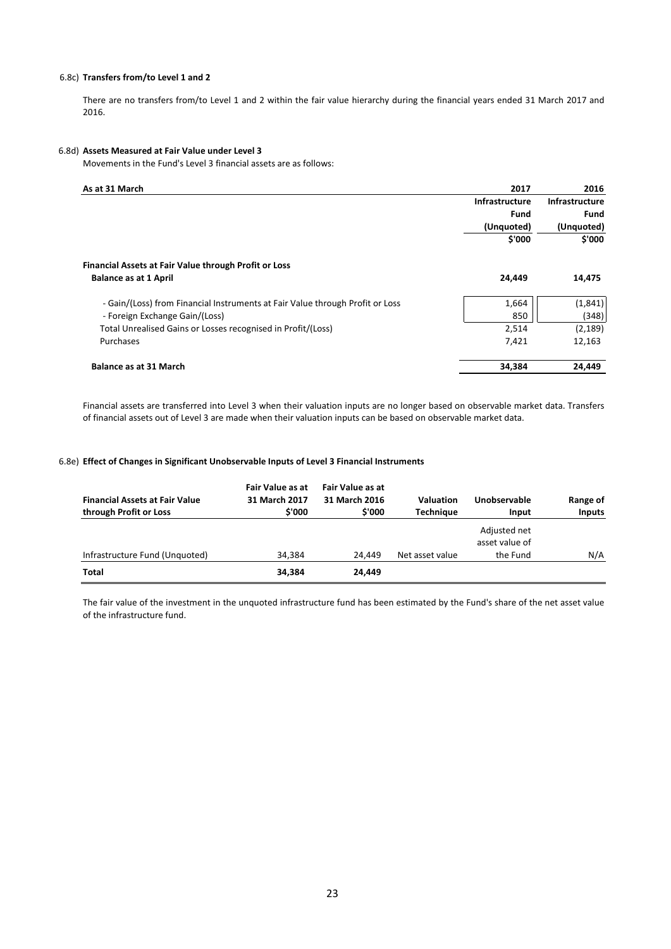#### 6.8c) **Transfers from/to Level 1 and 2**

There are no transfers from/to Level 1 and 2 within the fair value hierarchy during the financial years ended 31 March 2017 and 2016.

#### 6.8d) **Assets Measured at Fair Value under Level 3**

Movements in the Fund's Level 3 financial assets are as follows:

| As at 31 March                                                                | 2017                  | 2016                  |
|-------------------------------------------------------------------------------|-----------------------|-----------------------|
|                                                                               | <b>Infrastructure</b> | <b>Infrastructure</b> |
|                                                                               | <b>Fund</b>           | Fund                  |
|                                                                               | (Unquoted)            | (Unquoted)            |
|                                                                               | \$'000                | \$'000                |
| Financial Assets at Fair Value through Profit or Loss                         |                       |                       |
| <b>Balance as at 1 April</b>                                                  | 24,449                | 14,475                |
| - Gain/(Loss) from Financial Instruments at Fair Value through Profit or Loss | 1,664                 | (1,841)               |
| - Foreign Exchange Gain/(Loss)                                                | 850                   | (348)                 |
| Total Unrealised Gains or Losses recognised in Profit/(Loss)                  | 2,514                 | (2, 189)              |
| Purchases                                                                     | 7,421                 | 12,163                |
| <b>Balance as at 31 March</b>                                                 | 34,384                | 24,449                |

Financial assets are transferred into Level 3 when their valuation inputs are no longer based on observable market data. Transfers of financial assets out of Level 3 are made when their valuation inputs can be based on observable market data.

#### 6.8e) **Effect of Changes in Significant Unobservable Inputs of Level 3 Financial Instruments**

| <b>Financial Assets at Fair Value</b><br>through Profit or Loss | Fair Value as at<br>31 March 2017<br>\$'000 | Fair Value as at<br>31 March 2016<br>\$'000 | <b>Valuation</b><br><b>Techniaue</b> | Unobservable<br>Input                      | Range of<br><b>Inputs</b> |
|-----------------------------------------------------------------|---------------------------------------------|---------------------------------------------|--------------------------------------|--------------------------------------------|---------------------------|
| Infrastructure Fund (Unquoted)                                  | 34.384                                      | 24.449                                      | Net asset value                      | Adjusted net<br>asset value of<br>the Fund | N/A                       |
| <b>Total</b>                                                    | 34,384                                      | 24,449                                      |                                      |                                            |                           |

The fair value of the investment in the unquoted infrastructure fund has been estimated by the Fund's share of the net asset value of the infrastructure fund.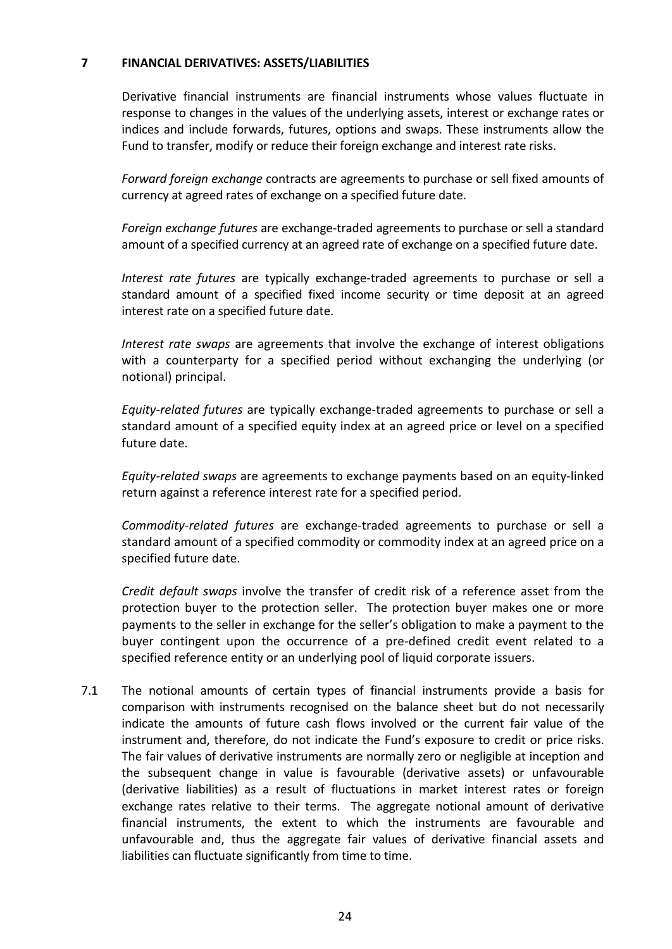#### **7 FINANCIAL DERIVATIVES: ASSETS/LIABILITIES**

Derivative financial instruments are financial instruments whose values fluctuate in response to changes in the values of the underlying assets, interest or exchange rates or indices and include forwards, futures, options and swaps. These instruments allow the Fund to transfer, modify or reduce their foreign exchange and interest rate risks.

*Forward foreign exchange* contracts are agreements to purchase or sell fixed amounts of currency at agreed rates of exchange on a specified future date.

*Foreign exchange futures* are exchange-traded agreements to purchase or sell a standard amount of a specified currency at an agreed rate of exchange on a specified future date.

*Interest rate futures* are typically exchange-traded agreements to purchase or sell a standard amount of a specified fixed income security or time deposit at an agreed interest rate on a specified future date.

*Interest rate swaps* are agreements that involve the exchange of interest obligations with a counterparty for a specified period without exchanging the underlying (or notional) principal.

*Equity-related futures* are typically exchange-traded agreements to purchase or sell a standard amount of a specified equity index at an agreed price or level on a specified future date.

*Equity-related swaps* are agreements to exchange payments based on an equity-linked return against a reference interest rate for a specified period.

*Commodity-related futures* are exchange-traded agreements to purchase or sell a standard amount of a specified commodity or commodity index at an agreed price on a specified future date.

*Credit default swaps* involve the transfer of credit risk of a reference asset from the protection buyer to the protection seller. The protection buyer makes one or more payments to the seller in exchange for the seller's obligation to make a payment to the buyer contingent upon the occurrence of a pre-defined credit event related to a specified reference entity or an underlying pool of liquid corporate issuers.

7.1 The notional amounts of certain types of financial instruments provide a basis for comparison with instruments recognised on the balance sheet but do not necessarily indicate the amounts of future cash flows involved or the current fair value of the instrument and, therefore, do not indicate the Fund's exposure to credit or price risks. The fair values of derivative instruments are normally zero or negligible at inception and the subsequent change in value is favourable (derivative assets) or unfavourable (derivative liabilities) as a result of fluctuations in market interest rates or foreign exchange rates relative to their terms. The aggregate notional amount of derivative financial instruments, the extent to which the instruments are favourable and unfavourable and, thus the aggregate fair values of derivative financial assets and liabilities can fluctuate significantly from time to time.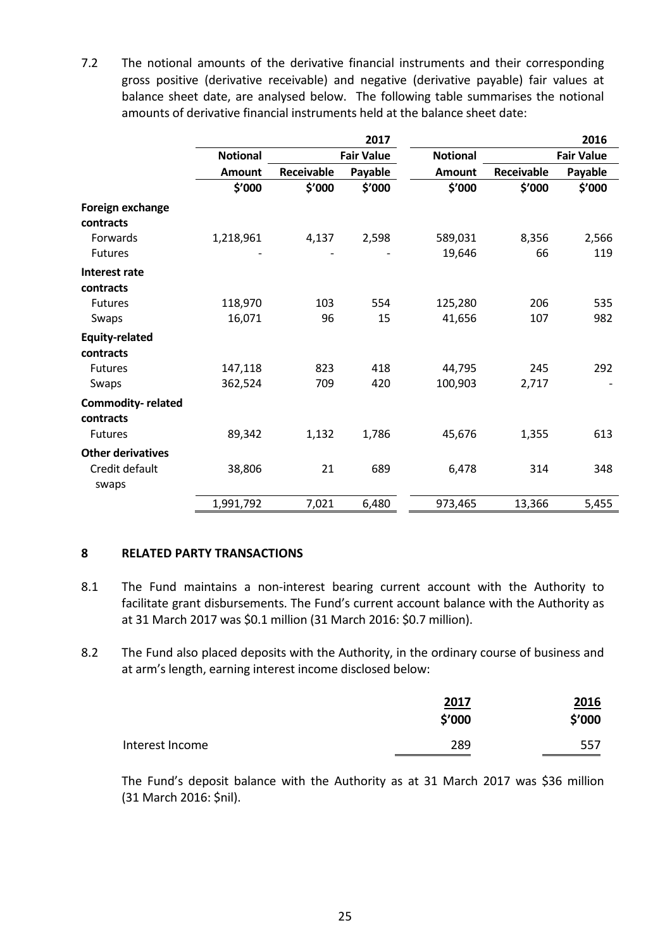7.2 The notional amounts of the derivative financial instruments and their corresponding gross positive (derivative receivable) and negative (derivative payable) fair values at balance sheet date, are analysed below. The following table summarises the notional amounts of derivative financial instruments held at the balance sheet date:

|                          |                 |            | 2017              |                 |            | 2016              |
|--------------------------|-----------------|------------|-------------------|-----------------|------------|-------------------|
|                          | <b>Notional</b> |            | <b>Fair Value</b> | <b>Notional</b> |            | <b>Fair Value</b> |
|                          | Amount          | Receivable | Payable           | <b>Amount</b>   | Receivable | Payable           |
|                          | \$'000          | \$'000     | \$'000            | \$'000          | \$'000     | \$'000            |
| Foreign exchange         |                 |            |                   |                 |            |                   |
| contracts                |                 |            |                   |                 |            |                   |
| Forwards                 | 1,218,961       | 4,137      | 2,598             | 589,031         | 8,356      | 2,566             |
| <b>Futures</b>           |                 |            |                   | 19,646          | 66         | 119               |
| <b>Interest rate</b>     |                 |            |                   |                 |            |                   |
| contracts                |                 |            |                   |                 |            |                   |
| Futures                  | 118,970         | 103        | 554               | 125,280         | 206        | 535               |
| Swaps                    | 16,071          | 96         | 15                | 41,656          | 107        | 982               |
| <b>Equity-related</b>    |                 |            |                   |                 |            |                   |
| contracts                |                 |            |                   |                 |            |                   |
| <b>Futures</b>           | 147,118         | 823        | 418               | 44,795          | 245        | 292               |
| Swaps                    | 362,524         | 709        | 420               | 100,903         | 2,717      |                   |
| Commodity-related        |                 |            |                   |                 |            |                   |
| contracts                |                 |            |                   |                 |            |                   |
| <b>Futures</b>           | 89,342          | 1,132      | 1,786             | 45,676          | 1,355      | 613               |
| <b>Other derivatives</b> |                 |            |                   |                 |            |                   |
| Credit default           | 38,806          | 21         | 689               | 6,478           | 314        | 348               |
| swaps                    |                 |            |                   |                 |            |                   |
|                          | 1,991,792       | 7,021      | 6,480             | 973,465         | 13,366     | 5,455             |

#### **8 RELATED PARTY TRANSACTIONS**

- 8.1 The Fund maintains a non-interest bearing current account with the Authority to facilitate grant disbursements. The Fund's current account balance with the Authority as at 31 March 2017 was \$0.1 million (31 March 2016: \$0.7 million).
- 8.2 The Fund also placed deposits with the Authority, in the ordinary course of business and at arm's length, earning interest income disclosed below:

|                 | 2017<br>\$'000 | 2016<br>\$′000 |
|-----------------|----------------|----------------|
| Interest Income | 289            | 557            |

The Fund's deposit balance with the Authority as at 31 March 2017 was \$36 million (31 March 2016: \$nil).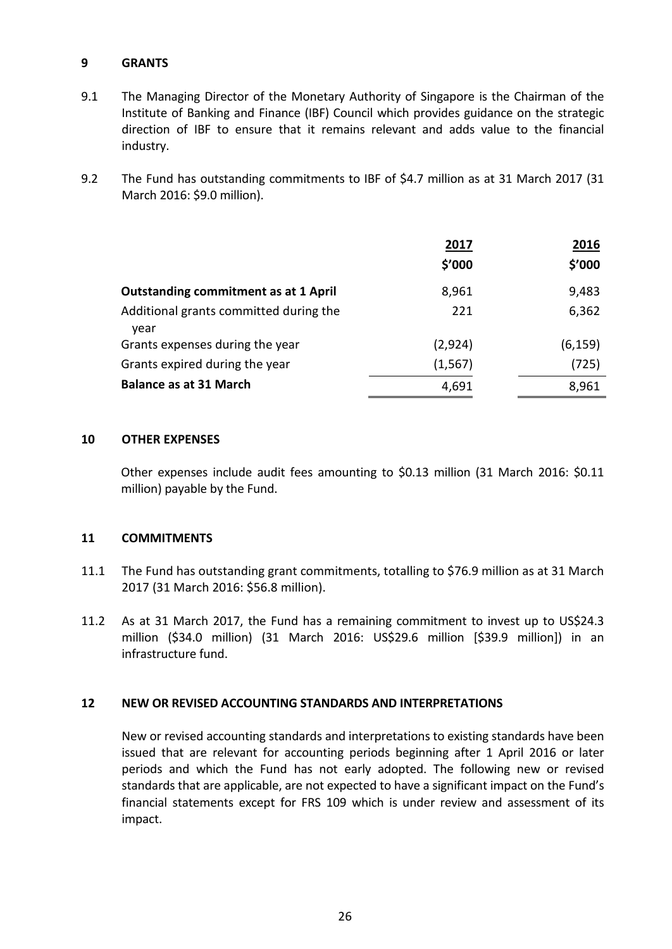## **9 GRANTS**

- 9.1 The Managing Director of the Monetary Authority of Singapore is the Chairman of the Institute of Banking and Finance (IBF) Council which provides guidance on the strategic direction of IBF to ensure that it remains relevant and adds value to the financial industry.
- 9.2 The Fund has outstanding commitments to IBF of \$4.7 million as at 31 March 2017 (31 March 2016: \$9.0 million).

|                                                | 2017<br>\$'000 | 2016<br>\$′000 |
|------------------------------------------------|----------------|----------------|
| <b>Outstanding commitment as at 1 April</b>    | 8,961          | 9,483          |
| Additional grants committed during the<br>year | 221            | 6,362          |
| Grants expenses during the year                | (2,924)        | (6, 159)       |
| Grants expired during the year                 | (1, 567)       | (725)          |
| <b>Balance as at 31 March</b>                  | 4,691          | 8,961          |

#### **10 OTHER EXPENSES**

Other expenses include audit fees amounting to \$0.13 million (31 March 2016: \$0.11 million) payable by the Fund.

#### **11 COMMITMENTS**

- 11.1 The Fund has outstanding grant commitments, totalling to \$76.9 million as at 31 March 2017 (31 March 2016: \$56.8 million).
- 11.2 As at 31 March 2017, the Fund has a remaining commitment to invest up to US\$24.3 million (\$34.0 million) (31 March 2016: US\$29.6 million [\$39.9 million]) in an infrastructure fund.

#### **12 NEW OR REVISED ACCOUNTING STANDARDS AND INTERPRETATIONS**

New or revised accounting standards and interpretations to existing standards have been issued that are relevant for accounting periods beginning after 1 April 2016 or later periods and which the Fund has not early adopted. The following new or revised standards that are applicable, are not expected to have a significant impact on the Fund's financial statements except for FRS 109 which is under review and assessment of its impact.